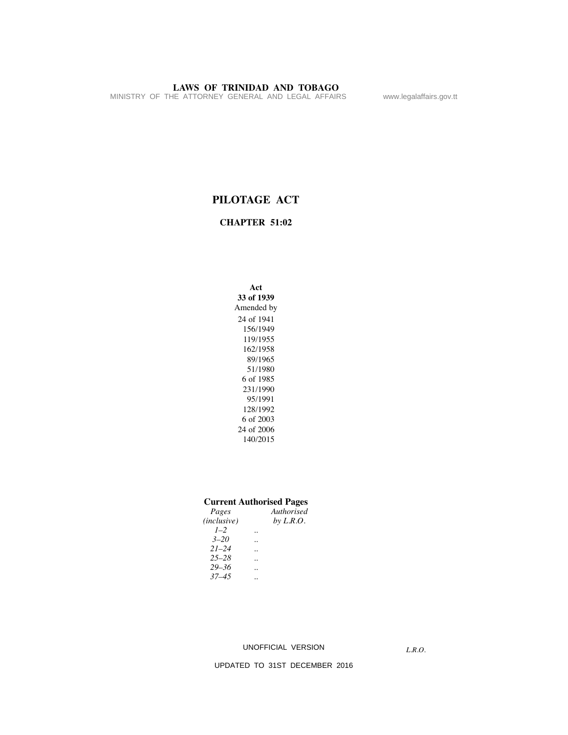MINISTRY OF THE ATTORNEY GENERAL AND LEGAL AFFAIRS www.legalaffairs.gov.tt

# **PILOTAGE ACT**

# **CHAPTER 51:02**

24 of 1941 156/1949 119/1955 162/1958 89/1965 51/1980 6 of 1985 231/1990 95/1991 128/1992 6 of 2003 24 of 2006 140/2015 **Act 33 of 1939** Amended by

# **Current Authorised Pages**

| Pages                | Authorised  |
|----------------------|-------------|
| ( <i>inclusive</i> ) | by $L.R.O.$ |
| $1-2$                |             |
| $3 - 20$             |             |
| $21 - 24$            |             |
| $25 - 28$            |             |
| $29 - 36$            |             |
| $37 - 45$            |             |
|                      |             |

UNOFFICIAL VERSION

*L.R.O.*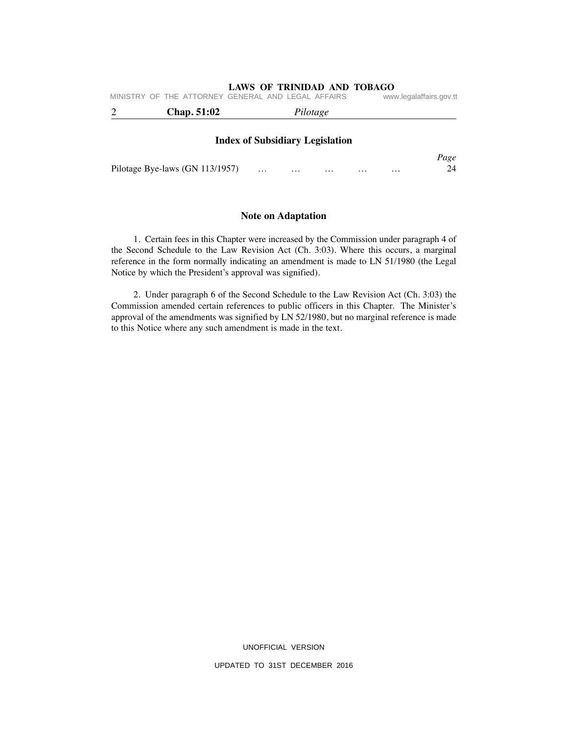|                                 | MINISTRY OF THE ATTORNEY GENERAL AND LEGAL AFFAIRS |                                        |          |  | www.legalaffairs.gov.tt |
|---------------------------------|----------------------------------------------------|----------------------------------------|----------|--|-------------------------|
|                                 | Chap. 51:02                                        |                                        | Pilotage |  |                         |
|                                 |                                                    | <b>Index of Subsidiary Legislation</b> |          |  |                         |
| Pilotage Bye-laws (GN 113/1957) |                                                    |                                        |          |  | Page                    |

# **Note on Adaptation**

 1. Certain fees in this Chapter were increased by the Commission under paragraph 4 of the Second Schedule to the Law Revision Act (Ch. 3:03). Where this occurs, a marginal reference in the form normally indicating an amendment is made to LN 51/1980 (the Legal Notice by which the President's approval was signified).

 2. Under paragraph 6 of the Second Schedule to the Law Revision Act (Ch. 3:03) the Commission amended certain references to public officers in this Chapter. The Minister's approval of the amendments was signified by LN 52/1980, but no marginal reference is made to this Notice where any such amendment is made in the text.

UNOFFICIAL VERSION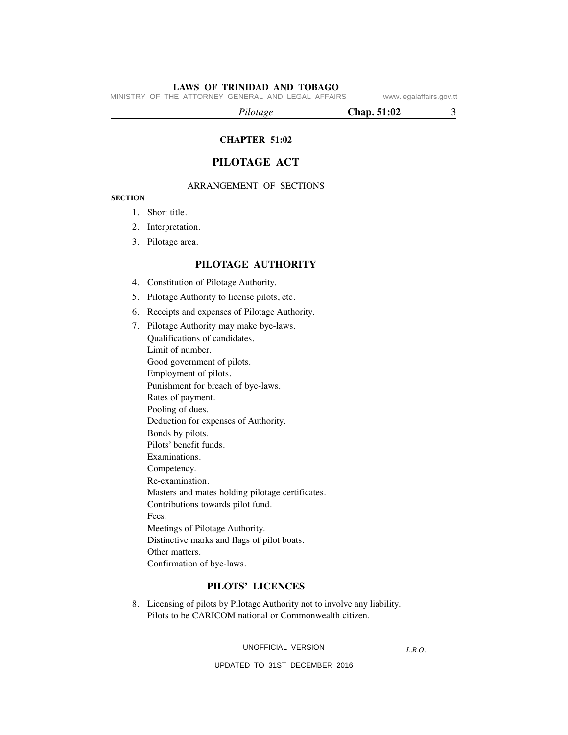MINISTRY OF THE ATTORNEY GENERAL AND LEGAL AFFAIRS www.legalaffairs.gov.tt

 *Pilotage* **Chap. 51:02** 3

# **CHAPTER 51:02**

# **PILOTAGE ACT**

# ARRANGEMENT OF SECTIONS

# **SECTION**

- 1. Short title.
- 2. Interpretation.
- 3. Pilotage area.

#### **PILOTAGE AUTHORITY**

- 4. Constitution of Pilotage Authority.
- 5. Pilotage Authority to license pilots, etc.
- 6. Receipts and expenses of Pilotage Authority.
- 7. Pilotage Authority may make bye-laws. Qualifications of candidates. Limit of number. Good government of pilots. Employment of pilots. Punishment for breach of bye-laws. Rates of payment. Pooling of dues. Deduction for expenses of Authority. Bonds by pilots. Pilots' benefit funds. Examinations. Competency. Re-examination. Masters and mates holding pilotage certificates. Contributions towards pilot fund. Fees. Meetings of Pilotage Authority. Distinctive marks and flags of pilot boats. Other matters. Confirmation of bye-laws.

#### **PILOTS' LICENCES**

 8. Licensing of pilots by Pilotage Authority not to involve any liability. Pilots to be CARICOM national or Commonwealth citizen.

UNOFFICIAL VERSION

*L.R.O.*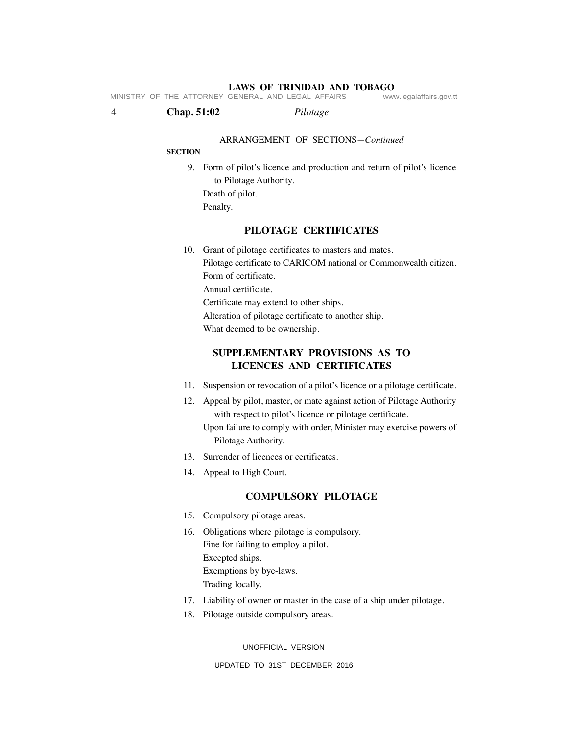|  | MINISTRY OF THE ATTORNEY GENERAL AND LEGAL AFFAIRS | www.legalaffairs.gov.tt |
|--|----------------------------------------------------|-------------------------|
|--|----------------------------------------------------|-------------------------|

| Chap. 51:02 | Pilotage |  |
|-------------|----------|--|
|-------------|----------|--|

#### ARRANGEMENT OF SECTIONS*—Continued*

# **SECTION**

 9. Form of pilot's licence and production and return of pilot's licence to Pilotage Authority. Death of pilot. Penalty.

# **PILOTAGE CERTIFICATES**

 10. Grant of pilotage certificates to masters and mates. Pilotage certificate to CARICOM national or Commonwealth citizen. Form of certificate. Annual certificate. Certificate may extend to other ships. Alteration of pilotage certificate to another ship. What deemed to be ownership.

# **SUPPLEMENTARY PROVISIONS AS TO LICENCES AND CERTIFICATES**

- 11. Suspension or revocation of a pilot's licence or a pilotage certificate.
- 12. Appeal by pilot, master, or mate against action of Pilotage Authority with respect to pilot's licence or pilotage certificate.
	- Upon failure to comply with order, Minister may exercise powers of Pilotage Authority.
- 13. Surrender of licences or certificates.
- 14. Appeal to High Court.

# **COMPULSORY PILOTAGE**

- 15. Compulsory pilotage areas.
- 16. Obligations where pilotage is compulsory. Fine for failing to employ a pilot. Excepted ships. Exemptions by bye-laws. Trading locally.
- 17. Liability of owner or master in the case of a ship under pilotage.
- 18. Pilotage outside compulsory areas.

UNOFFICIAL VERSION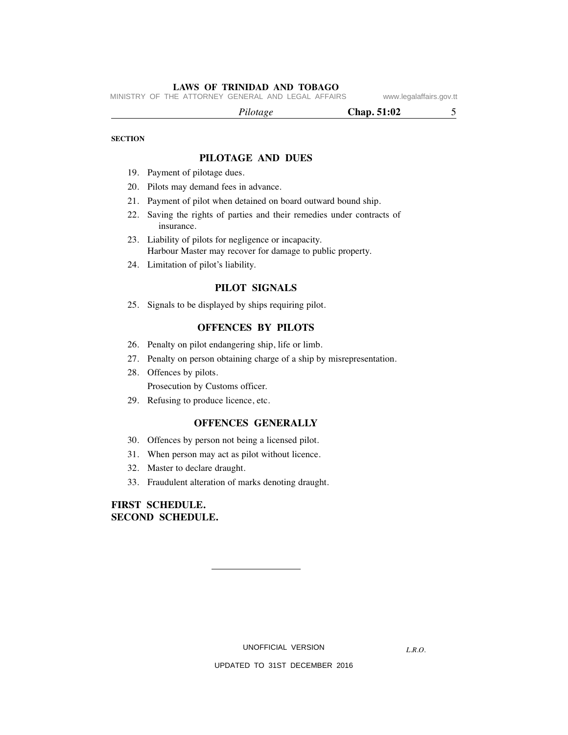MINISTRY OF THE ATTORNEY GENERAL AND LEGAL AFFAIRS www.legalaffairs.gov.tt

 *Pilotage* **Chap. 51:02** 5

#### **SECTION**

# **PILOTAGE AND DUES**

- 19. Payment of pilotage dues.
- 20. Pilots may demand fees in advance.
- 21. Payment of pilot when detained on board outward bound ship.
- 22. Saving the rights of parties and their remedies under contracts of insurance.
- 23. Liability of pilots for negligence or incapacity. Harbour Master may recover for damage to public property.
- 24. Limitation of pilot's liability.

# **PILOT SIGNALS**

25. Signals to be displayed by ships requiring pilot.

# **OFFENCES BY PILOTS**

- 26. Penalty on pilot endangering ship, life or limb.
- 27. Penalty on person obtaining charge of a ship by misrepresentation.
- 28. Offences by pilots. Prosecution by Customs officer.
- 29. Refusing to produce licence, etc.

# **OFFENCES GENERALLY**

- 30. Offences by person not being a licensed pilot.
- 31. When person may act as pilot without licence.
- 32. Master to declare draught.
- 33. Fraudulent alteration of marks denoting draught.

# **FIRST SCHEDULE. SECOND SCHEDULE.**

UNOFFICIAL VERSION

*L.R.O.*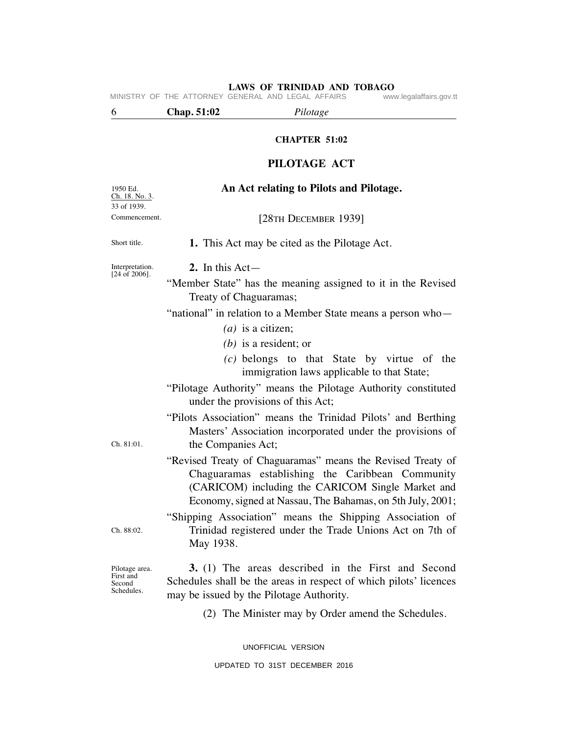**LAWS OF TRINIDAD AND TOBAGO**<br>GENERAL AND LEGAL AFFAIRS www.legalaffairs.gov.tt MINISTRY OF THE ATTORNEY GENERAL AND LEGAL AFFAIRS

|  | Chap. 51:02 | Pilotage |
|--|-------------|----------|
|--|-------------|----------|

# **CHAPTER 51:02**

# **PILOTAGE ACT**

| 1950 Ed.<br>Ch. 18. No. 3.<br>33 of 1939.           | An Act relating to Pilots and Pilotage.                                                                                                                                                                                            |
|-----------------------------------------------------|------------------------------------------------------------------------------------------------------------------------------------------------------------------------------------------------------------------------------------|
| Commencement.                                       | [28TH DECEMBER 1939]                                                                                                                                                                                                               |
| Short title.                                        | 1. This Act may be cited as the Pilotage Act.                                                                                                                                                                                      |
| Interpretation.<br>$[24 of 2006]$ .                 | 2. In this $Act-$<br>"Member State" has the meaning assigned to it in the Revised                                                                                                                                                  |
|                                                     | Treaty of Chaguaramas;<br>"national" in relation to a Member State means a person who-                                                                                                                                             |
|                                                     | $(a)$ is a citizen;                                                                                                                                                                                                                |
|                                                     | (b) is a resident; or<br>(c) belongs to that State by virtue of the<br>immigration laws applicable to that State;                                                                                                                  |
|                                                     | "Pilotage Authority" means the Pilotage Authority constituted<br>under the provisions of this Act;                                                                                                                                 |
| Ch. 81:01.                                          | "Pilots Association" means the Trinidad Pilots' and Berthing<br>Masters' Association incorporated under the provisions of<br>the Companies Act;                                                                                    |
|                                                     | "Revised Treaty of Chaguaramas" means the Revised Treaty of<br>Chaguaramas establishing the Caribbean Community<br>(CARICOM) including the CARICOM Single Market and<br>Economy, signed at Nassau, The Bahamas, on 5th July, 2001; |
| Ch. 88:02.                                          | "Shipping Association" means the Shipping Association of<br>Trinidad registered under the Trade Unions Act on 7th of<br>May 1938.                                                                                                  |
| Pilotage area.<br>First and<br>Second<br>Schedules. | 3. (1) The areas described in the First and Second<br>Schedules shall be the areas in respect of which pilots' licences<br>may be issued by the Pilotage Authority.                                                                |
|                                                     | (2) The Minister may by Order amend the Schedules.                                                                                                                                                                                 |

UNOFFICIAL VERSION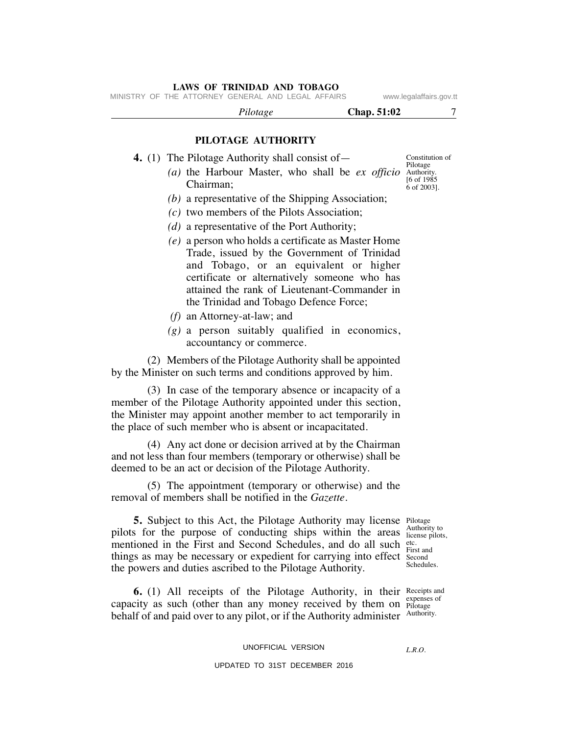MINISTRY OF THE ATTORNEY GENERAL AND LEGAL AFFAIRS www.legalaffairs.gov.tt

| Pilotage | <b>Chap.</b> 51:02 |
|----------|--------------------|
|          |                    |

## **PILOTAGE AUTHORITY**

- **4.** (1) The Pilotage Authority shall consist of—
- $(a)$  the Harbour Master, who shall be *ex officio* Authority. Chairman;
- Pilotage [6 of 1985 6 of 2003].
	- *(b)* a representative of the Shipping Association;
	- *(c)* two members of the Pilots Association;
	- *(d)* a representative of the Port Authority;
	- *(e)* a person who holds a certificate as Master Home Trade, issued by the Government of Trinidad and Tobago, or an equivalent or higher certificate or alternatively someone who has attained the rank of Lieutenant-Commander in the Trinidad and Tobago Defence Force;
	- *(f)* an Attorney-at-law; and
	- *(g)* a person suitably qualified in economics, accountancy or commerce.

 (2) Members of the Pilotage Authority shall be appointed by the Minister on such terms and conditions approved by him.

 (3) In case of the temporary absence or incapacity of a member of the Pilotage Authority appointed under this section, the Minister may appoint another member to act temporarily in the place of such member who is absent or incapacitated.

 (4) Any act done or decision arrived at by the Chairman and not less than four members (temporary or otherwise) shall be deemed to be an act or decision of the Pilotage Authority.

 (5) The appointment (temporary or otherwise) and the removal of members shall be notified in the *Gazette.*

**5.** Subject to this Act, the Pilotage Authority may license Pilotage pilots for the purpose of conducting ships within the areas  $\frac{\text{Aundently to}}{\text{license}}$ etc. mentioned in the First and Second Schedules, and do all such etc.<br>
Historian things as may be necessary or expedient for carrying into effect second the powers and duties ascribed to the Pilotage Authority.

Authority to Schedules.

**6.** (1) All receipts of the Pilotage Authority, in their Receipts and expenses of capacity as such (other than any money received by them on  $\frac{exp(x)}{P_{\text{ilotage}}}$ behalf of and paid over to any pilot, or if the Authority administer Authority.

# UNOFFICIAL VERSION

*L.R.O.* 

# UPDATED TO 31ST DECEMBER 2016

Constitution of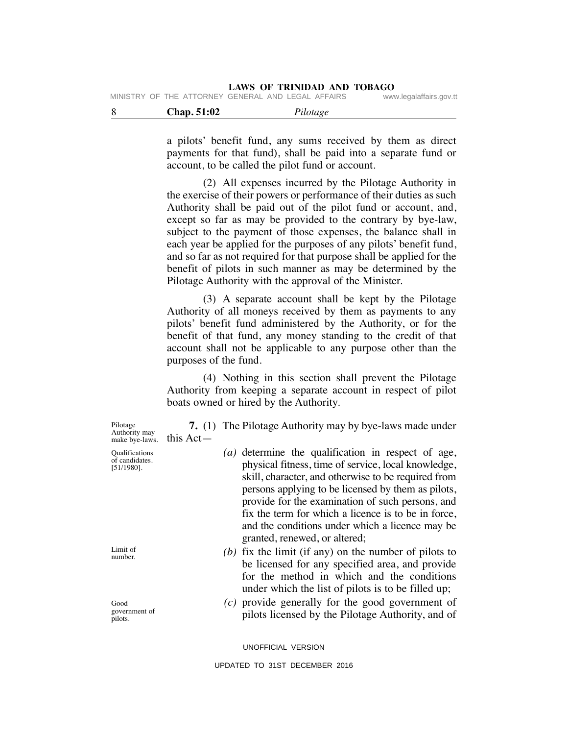**LAWS OF TRINIDAD AND TOBAGO** MINISTRY OF THE ATTORNEY

|  |  | IVIIINIOIRI UFIIRE AIIURNEI UENERAL ANU LEUAL AFFAIRO | www.ieudidiidii5.uuv.tt |
|--|--|-------------------------------------------------------|-------------------------|
|  |  |                                                       |                         |

| Chap. 51:02 | uotage<br>$\sim$ $\sim$ $\sim$ $\sim$ $\sim$ |
|-------------|----------------------------------------------|
|             |                                              |

a pilots' benefit fund, any sums received by them as direct payments for that fund), shall be paid into a separate fund or account, to be called the pilot fund or account.

 (2) All expenses incurred by the Pilotage Authority in the exercise of their powers or performance of their duties as such Authority shall be paid out of the pilot fund or account, and, except so far as may be provided to the contrary by bye-law, subject to the payment of those expenses, the balance shall in each year be applied for the purposes of any pilots' benefit fund, and so far as not required for that purpose shall be applied for the benefit of pilots in such manner as may be determined by the Pilotage Authority with the approval of the Minister.

 (3) A separate account shall be kept by the Pilotage Authority of all moneys received by them as payments to any pilots' benefit fund administered by the Authority, or for the benefit of that fund, any money standing to the credit of that account shall not be applicable to any purpose other than the purposes of the fund.

 (4) Nothing in this section shall prevent the Pilotage Authority from keeping a separate account in respect of pilot boats owned or hired by the Authority.

Authority may make bye-laws.  **7.** (1) The Pilotage Authority may by bye-laws made under this Act—

| <b>Qualifications</b><br>of candidates.<br>$[51/1980]$ . | (a) determine the qualification in respect of age,<br>physical fitness, time of service, local knowledge, |
|----------------------------------------------------------|-----------------------------------------------------------------------------------------------------------|
|                                                          | skill, character, and otherwise to be required from                                                       |
|                                                          | persons applying to be licensed by them as pilots,                                                        |
|                                                          | provide for the examination of such persons, and                                                          |
|                                                          | fix the term for which a licence is to be in force,                                                       |
|                                                          | and the conditions under which a licence may be                                                           |
|                                                          | granted, renewed, or altered;                                                                             |
| Limit of<br>number.                                      | (b) fix the limit (if any) on the number of pilots to                                                     |
|                                                          | be licensed for any specified area, and provide                                                           |
|                                                          | for the method in which and the conditions                                                                |

Pilotage

Good government of pilots.

under which the list of pilots is to be filled up;  *(c)* provide generally for the good government of

pilots licensed by the Pilotage Authority, and of

UNOFFICIAL VERSION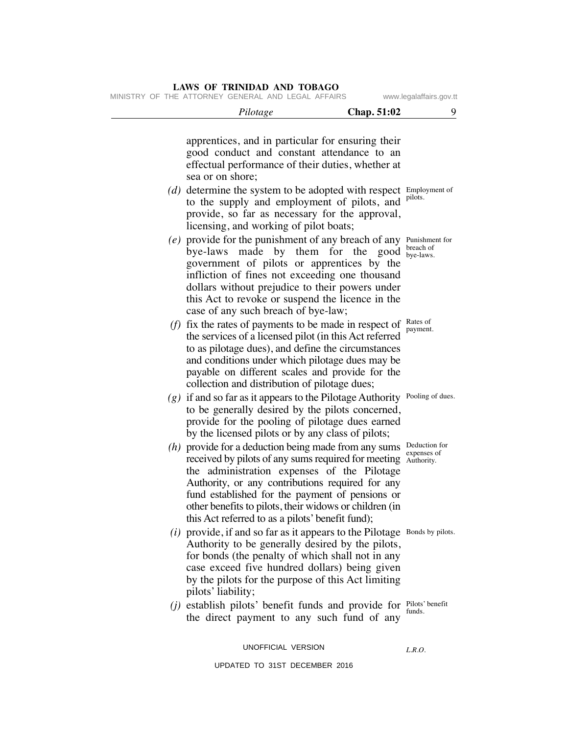MINISTRY OF THE ATTORNEY GENERAL AND LEGAL AFFAIRS www.legalaffairs.gov.tt

| Pilotage                                                                                                                                                                                                                                                                                                                                                                          | Chap. 51:02 | 9                                          |
|-----------------------------------------------------------------------------------------------------------------------------------------------------------------------------------------------------------------------------------------------------------------------------------------------------------------------------------------------------------------------------------|-------------|--------------------------------------------|
| apprentices, and in particular for ensuring their<br>good conduct and constant attendance to an                                                                                                                                                                                                                                                                                   |             |                                            |
| effectual performance of their duties, whether at<br>sea or on shore:                                                                                                                                                                                                                                                                                                             |             |                                            |
| $(d)$ determine the system to be adopted with respect Employment of<br>to the supply and employment of pilots, and<br>provide, so far as necessary for the approval,<br>licensing, and working of pilot boats;                                                                                                                                                                    |             | pilots.                                    |
| (e) provide for the punishment of any breach of any Punishment for<br>bye-laws made by them for the good<br>government of pilots or apprentices by the<br>infliction of fines not exceeding one thousand<br>dollars without prejudice to their powers under<br>this Act to revoke or suspend the licence in the<br>case of any such breach of bye-law;                            |             | breach of<br>bye-laws.                     |
| (f) fix the rates of payments to be made in respect of $\frac{\text{Rate of}}{\text{parameter}}$<br>the services of a licensed pilot (in this Act referred<br>to as pilotage dues), and define the circumstances<br>and conditions under which pilotage dues may be<br>payable on different scales and provide for the<br>collection and distribution of pilotage dues;           |             | payment.                                   |
| $(g)$ if and so far as it appears to the Pilotage Authority Pooling of dues.<br>to be generally desired by the pilots concerned,<br>provide for the pooling of pilotage dues earned<br>by the licensed pilots or by any class of pilots;                                                                                                                                          |             |                                            |
| $(h)$ provide for a deduction being made from any sums<br>received by pilots of any sums required for meeting<br>the administration expenses of the Pilotage<br>Authority, or any contributions required for any<br>fund established for the payment of pensions or<br>other benefits to pilots, their widows or children (in<br>this Act referred to as a pilots' benefit fund); |             | Deduction for<br>expenses of<br>Authority. |
| $(i)$ provide, if and so far as it appears to the Pilotage Bonds by pilots.<br>Authority to be generally desired by the pilots,<br>for bonds (the penalty of which shall not in any<br>case exceed five hundred dollars) being given<br>by the pilots for the purpose of this Act limiting<br>pilots' liability;                                                                  |             |                                            |
| (j) establish pilots' benefit funds and provide for $\frac{\text{Pilots}}{\text{funds}}$ benefit<br>the direct payment to any such fund of any                                                                                                                                                                                                                                    |             | funds.                                     |
| UNOFFICIAL VERSION                                                                                                                                                                                                                                                                                                                                                                |             | L.R.O.                                     |

UPDATED TO 31ST DECEMBER 2016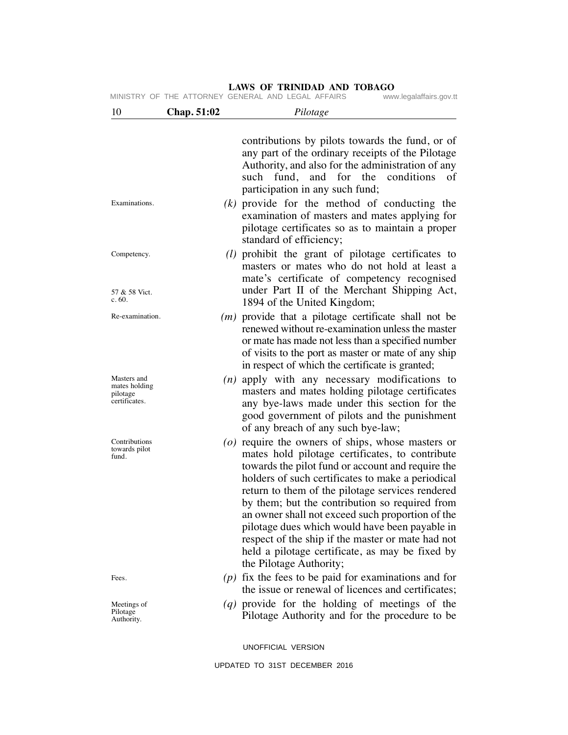#### Examinations. Competency. 57 & 58 Vict. c. 60. Re-examination. Masters and mates holding pilotage certificates. Contributions towards pilot fund. Fees. Meetings of Pilotage Authority. contributions by pilots towards the fund, or of any part of the ordinary receipts of the Pilotage Authority, and also for the administration of any such fund, and for the conditions of participation in any such fund;  *(k)* provide for the method of conducting the examination of masters and mates applying for pilotage certificates so as to maintain a proper standard of efficiency;  *(l)* prohibit the grant of pilotage certificates to masters or mates who do not hold at least a mate's certificate of competency recognised under Part II of the Merchant Shipping Act, 1894 of the United Kingdom;  *(m)* provide that a pilotage certificate shall not be renewed without re-examination unless the master or mate has made not less than a specified number of visits to the port as master or mate of any ship in respect of which the certificate is granted;  *(n)* apply with any necessary modifications to masters and mates holding pilotage certificates any bye-laws made under this section for the good government of pilots and the punishment of any breach of any such bye-law;  *(o)* require the owners of ships, whose masters or mates hold pilotage certificates, to contribute towards the pilot fund or account and require the holders of such certificates to make a periodical return to them of the pilotage services rendered by them; but the contribution so required from an owner shall not exceed such proportion of the pilotage dues which would have been payable in respect of the ship if the master or mate had not held a pilotage certificate, as may be fixed by the Pilotage Authority;  *(p)* fix the fees to be paid for examinations and for the issue or renewal of licences and certificates;  *(q)* provide for the holding of meetings of the Pilotage Authority and for the procedure to be 10 **Chap. 51:02** *Pilotage* MINISTRY OF THE ATTORNEY GENERAL AND LEGAL AFFAIRS

**LAWS OF TRINIDAD AND TOBAGO**

UNOFFICIAL VERSION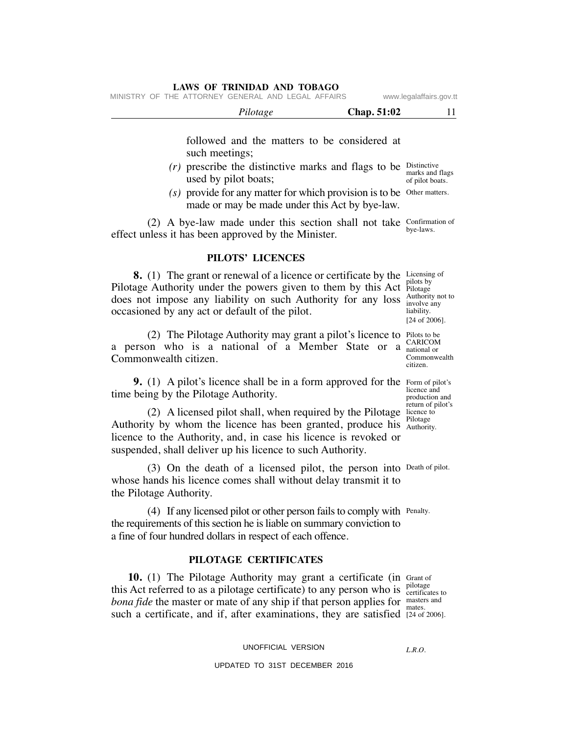MINISTRY OF THE ATTORNEY GENERAL AND LEGAL AFFAIRS www.legalaffairs.gov.tt

| Pilotage | Chap. 51:02 |  |
|----------|-------------|--|
|          |             |  |

followed and the matters to be considered at such meetings;

- $(r)$  prescribe the distinctive marks and flags to be  $\frac{D}{T}$  positively marks and flags of pilot boats. used by pilot boats;
- $(s)$  provide for any matter for which provision is to be Other matters. made or may be made under this Act by bye-law.

(2) A bye-law made under this section shall not take Confirmation of bye-laws. effect unless it has been approved by the Minister.

# **PILOTS' LICENCES**

**8.** (1) The grant or renewal of a licence or certificate by the Licensing of pilots by Pilotage Authority under the powers given to them by this Act Pilotage does not impose any liability on such Authority for any loss  $\frac{\text{Authority not to}}{\text{involve any}}$ involve any liability. [24 of 2006]. occasioned by any act or default of the pilot.

(2) The Pilotage Authority may grant a pilot's licence to  $P_{\text{plots}}$  to be a person who is a national of a Member State or a  $\frac{C_{\text{AKICON}}}{\text{national or }}$ Commonwealth citizen.

**9.** (1) A pilot's licence shall be in a form approved for the Form of pilot's time being by the Pilotage Authority.

(2) A licensed pilot shall, when required by the Pilotage licence to Authority by whom the licence has been granted, produce his  $A<sub>authority</sub>$ . licence to the Authority, and, in case his licence is revoked or suspended, shall deliver up his licence to such Authority.

 $(3)$  On the death of a licensed pilot, the person into Death of pilot. whose hands his licence comes shall without delay transmit it to the Pilotage Authority.

(4) If any licensed pilot or other person fails to comply with Penalty. the requirements of this section he is liable on summary conviction to a fine of four hundred dollars in respect of each offence.

# **PILOTAGE CERTIFICATES**

**10.** (1) The Pilotage Authority may grant a certificate (in Grant of pilotage this Act referred to as a pilotage certificate) to any person who is  $\frac{\text{p})(\text{angle}}{\text{certificates to}}$ *bona fide* the master or mate of any ship if that person applies for masters and such a certificate, and if, after examinations, they are satisfied  $[24 \text{ of } 2006]$ .

# UNOFFICIAL VERSION

*L.R.O.* 

UPDATED TO 31ST DECEMBER 2016

CARICOM Commonwealth citizen.

licence and production and return of pilot's Pilotage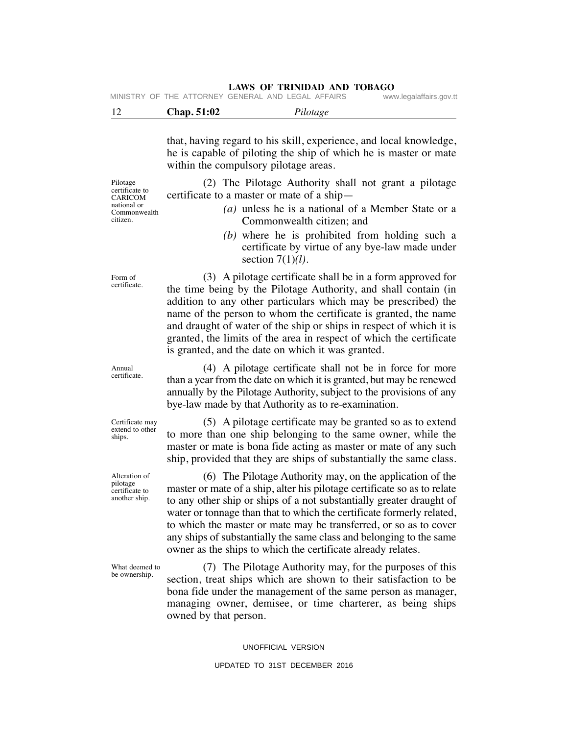| MINISTRY OF THE ATTORNEY GENERAL AND LEGAL AFFAIRS |  | www.legalaffairs.gov.tt |
|----------------------------------------------------|--|-------------------------|
|                                                    |  |                         |

| r tlotage |  | Chap. 51:02 |  |  |
|-----------|--|-------------|--|--|
|-----------|--|-------------|--|--|

that, having regard to his skill, experience, and local knowledge, he is capable of piloting the ship of which he is master or mate within the compulsory pilotage areas.

 (2) The Pilotage Authority shall not grant a pilotage certificate to a master or mate of a ship—

> *(a)* unless he is a national of a Member State or a Commonwealth citizen; and

 *(b)* where he is prohibited from holding such a certificate by virtue of any bye-law made under section 7(1)*(l)*.

 (3) A pilotage certificate shall be in a form approved for the time being by the Pilotage Authority, and shall contain (in addition to any other particulars which may be prescribed) the name of the person to whom the certificate is granted, the name and draught of water of the ship or ships in respect of which it is granted, the limits of the area in respect of which the certificate is granted, and the date on which it was granted.

 (4) A pilotage certificate shall not be in force for more than a year from the date on which it is granted, but may be renewed annually by the Pilotage Authority, subject to the provisions of any bye-law made by that Authority as to re-examination.

 (5) A pilotage certificate may be granted so as to extend to more than one ship belonging to the same owner, while the master or mate is bona fide acting as master or mate of any such ship, provided that they are ships of substantially the same class.

 (6) The Pilotage Authority may, on the application of the master or mate of a ship, alter his pilotage certificate so as to relate to any other ship or ships of a not substantially greater draught of water or tonnage than that to which the certificate formerly related, to which the master or mate may be transferred, or so as to cover any ships of substantially the same class and belonging to the same owner as the ships to which the certificate already relates.

 (7) The Pilotage Authority may, for the purposes of this section, treat ships which are shown to their satisfaction to be bona fide under the management of the same person as manager, managing owner, demisee, or time charterer, as being ships owned by that person.

#### UNOFFICIAL VERSION

#### UPDATED TO 31ST DECEMBER 2016

Pilotage certificate to **CARICOM** national or Commonwealth citizen.

Form of certificate.

Annual certificate.

Certificate may extend to other ships.

Alteration of pilotage certificate to another ship.

What deemed to be ownership.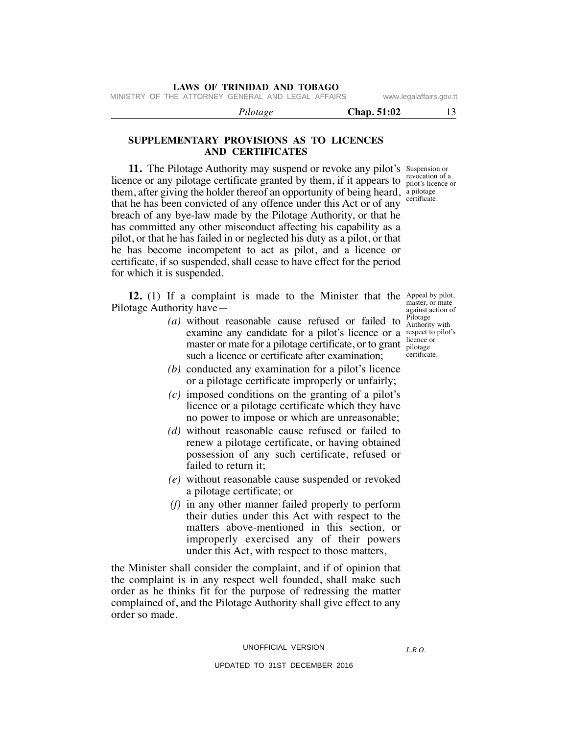MINISTRY OF THE ATTORNEY GENERAL AND LEGAL AFFAIRS www.legalaffairs.gov.tt

 *Pilotage* **Chap. 51:02** 13

# **SUPPLEMENTARY PROVISIONS AS TO LICENCES AND CERTIFICATES**

11. The Pilotage Authority may suspend or revoke any pilot's Suspension or revocation of a licence or any pilotage certificate granted by them, if it appears to  $\frac{\text{revocaiton of a}}{\text{pilot's license or}}$ them, after giving the holder thereof an opportunity of being heard, a pilotage certificate. that he has been convicted of any offence under this Act or of any breach of any bye-law made by the Pilotage Authority, or that he has committed any other misconduct affecting his capability as a pilot, or that he has failed in or neglected his duty as a pilot, or that he has become incompetent to act as pilot, and a licence or certificate, if so suspended, shall cease to have effect for the period for which it is suspended.

**12.** (1) If a complaint is made to the Minister that the Appeal by pilot, Pilotage Authority have—

- examine any candidate for a pilot's licence or a respect to pilot's master or mate for a pilotage certificate, or to grant pilotage  *(a)* without reasonable cause refused or failed to such a licence or certificate after examination;
- *(b)* conducted any examination for a pilot's licence or a pilotage certificate improperly or unfairly;
- *(c)* imposed conditions on the granting of a pilot's licence or a pilotage certificate which they have no power to impose or which are unreasonable;
- *(d)* without reasonable cause refused or failed to renew a pilotage certificate, or having obtained possession of any such certificate, refused or failed to return it;
- *(e)* without reasonable cause suspended or revoked a pilotage certificate; or
- *(f)* in any other manner failed properly to perform their duties under this Act with respect to the matters above-mentioned in this section, or improperly exercised any of their powers under this Act, with respect to those matters,

the Minister shall consider the complaint, and if of opinion that the complaint is in any respect well founded, shall make such order as he thinks fit for the purpose of redressing the matter complained of, and the Pilotage Authority shall give effect to any order so made.

#### UNOFFICIAL VERSION

*L.R.O.* 

master, or mate against action of Pilotage Authority with licence or certificate.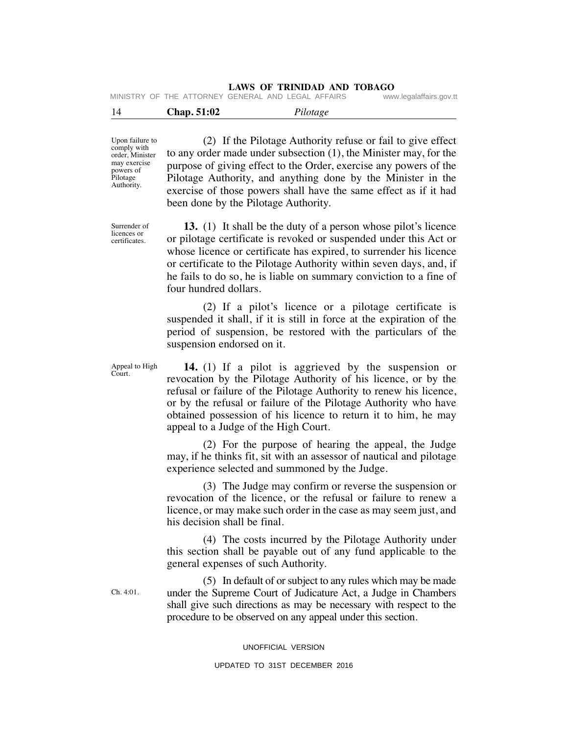| MINISTRY OF THE ATTORNEY GENERAL AND LEGAL AFFAIRS |  |  |  |  |  |  |  | www.legalaffairs.gov.tt |
|----------------------------------------------------|--|--|--|--|--|--|--|-------------------------|
|----------------------------------------------------|--|--|--|--|--|--|--|-------------------------|

| -14 | Chap. 51:02 | Pilotage |
|-----|-------------|----------|
|-----|-------------|----------|

Upon failure to comply with order, Minister may exercise powers of Pilotage Authority.

 (2) If the Pilotage Authority refuse or fail to give effect to any order made under subsection (1), the Minister may, for the purpose of giving effect to the Order, exercise any powers of the Pilotage Authority, and anything done by the Minister in the exercise of those powers shall have the same effect as if it had been done by the Pilotage Authority.

Surrender of licences or certificates.

 **13.** (1) It shall be the duty of a person whose pilot's licence or pilotage certificate is revoked or suspended under this Act or whose licence or certificate has expired, to surrender his licence or certificate to the Pilotage Authority within seven days, and, if he fails to do so, he is liable on summary conviction to a fine of four hundred dollars.

 (2) If a pilot's licence or a pilotage certificate is suspended it shall, if it is still in force at the expiration of the period of suspension, be restored with the particulars of the suspension endorsed on it.

Appeal to High Court.

 $Ch$  4:01.

 **14.** (1) If a pilot is aggrieved by the suspension or revocation by the Pilotage Authority of his licence, or by the refusal or failure of the Pilotage Authority to renew his licence, or by the refusal or failure of the Pilotage Authority who have obtained possession of his licence to return it to him, he may appeal to a Judge of the High Court.

 (2) For the purpose of hearing the appeal, the Judge may, if he thinks fit, sit with an assessor of nautical and pilotage experience selected and summoned by the Judge.

 (3) The Judge may confirm or reverse the suspension or revocation of the licence, or the refusal or failure to renew a licence, or may make such order in the case as may seem just, and his decision shall be final.

 (4) The costs incurred by the Pilotage Authority under this section shall be payable out of any fund applicable to the general expenses of such Authority.

 (5) In default of or subject to any rules which may be made under the Supreme Court of Judicature Act, a Judge in Chambers shall give such directions as may be necessary with respect to the procedure to be observed on any appeal under this section.

UNOFFICIAL VERSION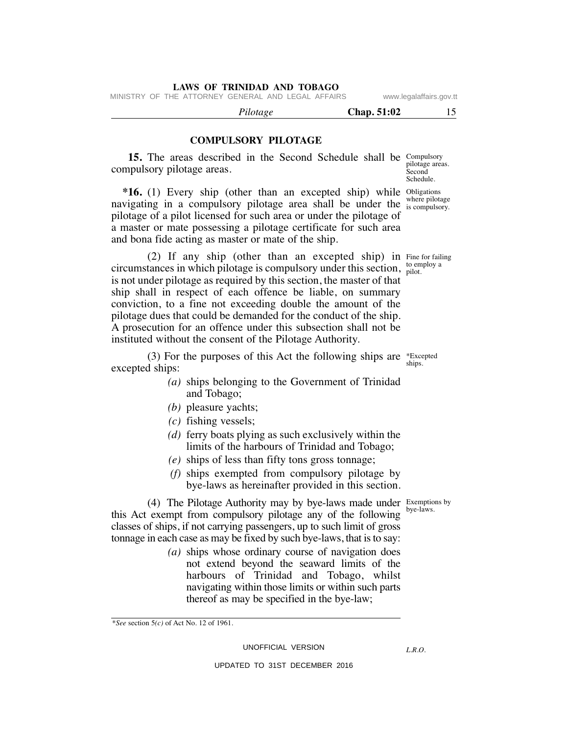MINISTRY OF THE ATTORNEY GENERAL AND LEGAL AFFAIRS www.legalaffairs.gov.tt

 *Pilotage* **Chap. 51:02** 15

# **COMPULSORY PILOTAGE**

**15.** The areas described in the Second Schedule shall be Compulsory pilotage areas. compulsory pilotage areas.

\*16. (1) Every ship (other than an excepted ship) while Obligations navigating in a compulsory pilotage area shall be under the second is compulsory. pilotage of a pilot licensed for such area or under the pilotage of a master or mate possessing a pilotage certificate for such area and bona fide acting as master or mate of the ship.

(2) If any ship (other than an excepted ship) in Fine for failing to employ a circumstances in which pilotage is compulsory under this section,  $_{\text{pilot}}^{\text{to em}}$ is not under pilotage as required by this section, the master of that ship shall in respect of each offence be liable, on summary conviction, to a fine not exceeding double the amount of the pilotage dues that could be demanded for the conduct of the ship. A prosecution for an offence under this subsection shall not be instituted without the consent of the Pilotage Authority.

 $(3)$  For the purposes of this Act the following ships are \*Excepted excepted ships:

- *(a)* ships belonging to the Government of Trinidad and Tobago;
- *(b)* pleasure yachts;
- *(c)* fishing vessels;
- *(d)* ferry boats plying as such exclusively within the limits of the harbours of Trinidad and Tobago;
- *(e)* ships of less than fifty tons gross tonnage;
- *(f)* ships exempted from compulsory pilotage by bye-laws as hereinafter provided in this section.

(4) The Pilotage Authority may by bye-laws made under Exemptions by bye-laws. this Act exempt from compulsory pilotage any of the following classes of ships, if not carrying passengers, up to such limit of gross tonnage in each case as may be fixed by such bye-laws, that is to say:

> *(a)* ships whose ordinary course of navigation does not extend beyond the seaward limits of the harbours of Trinidad and Tobago, whilst navigating within those limits or within such parts thereof as may be specified in the bye-law;

\**See* section 5*(c)* of Act No. 12 of 1961.

UNOFFICIAL VERSION

*L.R.O.* 

UPDATED TO 31ST DECEMBER 2016

ships.

Second Schedule.

where pilotage

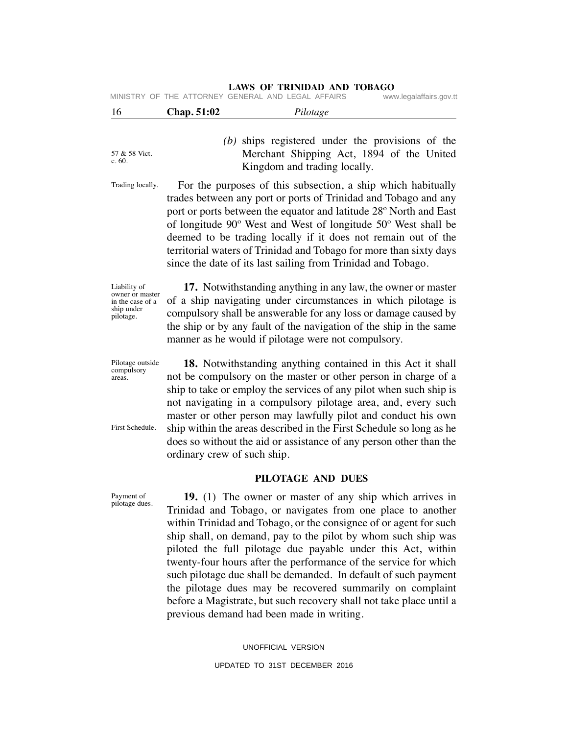|  | MINISTRY OF THE ATTORNEY GENERAL AND LEGAL AFFAIRS |  |  | www.legalaffairs.gov.tt |
|--|----------------------------------------------------|--|--|-------------------------|
|  |                                                    |  |  |                         |

| 16                                                                             | Chap. 51:02                                                                                                                                                                                                                                                                                                                   | Pilotage                                                                                                                                                                                                                                                                                                                                                                                                                                                                           |  |  |  |  |  |
|--------------------------------------------------------------------------------|-------------------------------------------------------------------------------------------------------------------------------------------------------------------------------------------------------------------------------------------------------------------------------------------------------------------------------|------------------------------------------------------------------------------------------------------------------------------------------------------------------------------------------------------------------------------------------------------------------------------------------------------------------------------------------------------------------------------------------------------------------------------------------------------------------------------------|--|--|--|--|--|
| 57 & 58 Vict.<br>c.60.                                                         |                                                                                                                                                                                                                                                                                                                               | $(b)$ ships registered under the provisions of the<br>Merchant Shipping Act, 1894 of the United<br>Kingdom and trading locally.                                                                                                                                                                                                                                                                                                                                                    |  |  |  |  |  |
| Trading locally.                                                               |                                                                                                                                                                                                                                                                                                                               | For the purposes of this subsection, a ship which habitually<br>trades between any port or ports of Trinidad and Tobago and any<br>port or ports between the equator and latitude 28° North and East<br>of longitude 90° West and West of longitude 50° West shall be<br>deemed to be trading locally if it does not remain out of the<br>territorial waters of Trinidad and Tobago for more than sixty days<br>since the date of its last sailing from Trinidad and Tobago.       |  |  |  |  |  |
| Liability of<br>owner or master<br>in the case of a<br>ship under<br>pilotage. | 17. Notwithstanding anything in any law, the owner or master<br>of a ship navigating under circumstances in which pilotage is<br>compulsory shall be answerable for any loss or damage caused by<br>the ship or by any fault of the navigation of the ship in the same<br>manner as he would if pilotage were not compulsory. |                                                                                                                                                                                                                                                                                                                                                                                                                                                                                    |  |  |  |  |  |
| Pilotage outside<br>compulsory<br>areas.<br>First Schedule.                    | ordinary crew of such ship.                                                                                                                                                                                                                                                                                                   | 18. Notwithstanding anything contained in this Act it shall<br>not be compulsory on the master or other person in charge of a<br>ship to take or employ the services of any pilot when such ship is<br>not navigating in a compulsory pilotage area, and, every such<br>master or other person may lawfully pilot and conduct his own<br>ship within the areas described in the First Schedule so long as he<br>does so without the aid or assistance of any person other than the |  |  |  |  |  |
|                                                                                |                                                                                                                                                                                                                                                                                                                               |                                                                                                                                                                                                                                                                                                                                                                                                                                                                                    |  |  |  |  |  |

# **PILOTAGE AND DUES**

 **19.** (1) The owner or master of any ship which arrives in Trinidad and Tobago, or navigates from one place to another within Trinidad and Tobago, or the consignee of or agent for such ship shall, on demand, pay to the pilot by whom such ship was piloted the full pilotage due payable under this Act, within twenty-four hours after the performance of the service for which such pilotage due shall be demanded. In default of such payment the pilotage dues may be recovered summarily on complaint before a Magistrate, but such recovery shall not take place until a previous demand had been made in writing.

> UNOFFICIAL VERSION UPDATED TO 31ST DECEMBER 2016

Payment of pilotage dues.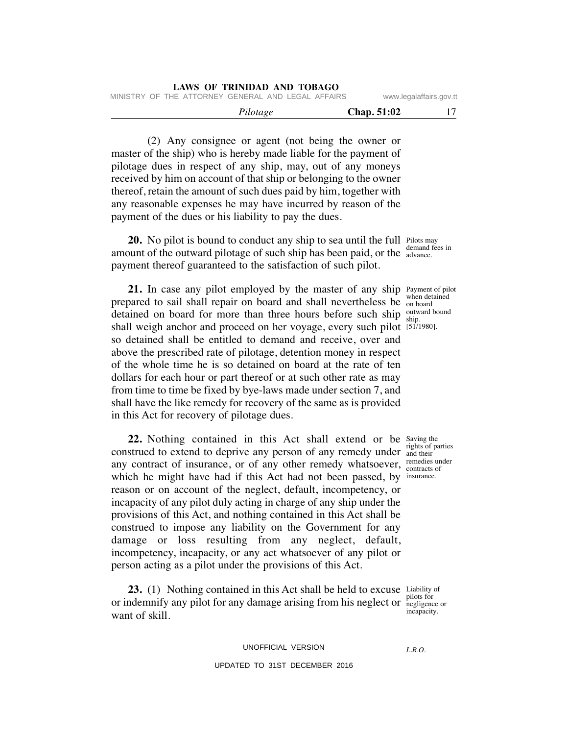|  | LAWS OF INIMIDAD AND TODAUO                        |          |  |  |             |                         |
|--|----------------------------------------------------|----------|--|--|-------------|-------------------------|
|  | MINISTRY OF THE ATTORNEY GENERAL AND LEGAL AFFAIRS |          |  |  |             | www.legalaffairs.gov.tt |
|  |                                                    | Pilotage |  |  | Chap. 51:02 |                         |

 (2) Any consignee or agent (not being the owner or master of the ship) who is hereby made liable for the payment of pilotage dues in respect of any ship, may, out of any moneys received by him on account of that ship or belonging to the owner thereof, retain the amount of such dues paid by him, together with any reasonable expenses he may have incurred by reason of the payment of the dues or his liability to pay the dues.

**LAWS OF TRINIDAD AND TOBAGO**

**20.** No pilot is bound to conduct any ship to sea until the full Pilots may demand fees in amount of the outward pilotage of such ship has been paid, or the definition payment thereof guaranteed to the satisfaction of such pilot.

21. In case any pilot employed by the master of any ship Payment of pilot prepared to sail shall repair on board and shall nevertheless be on board detained on board for more than three hours before such ship  $\frac{outw}{ship}$ shall weigh anchor and proceed on her voyage, every such pilot [51/1980]. so detained shall be entitled to demand and receive, over and above the prescribed rate of pilotage, detention money in respect of the whole time he is so detained on board at the rate of ten dollars for each hour or part thereof or at such other rate as may from time to time be fixed by bye-laws made under section 7, and shall have the like remedy for recovery of the same as is provided in this Act for recovery of pilotage dues.

**22.** Nothing contained in this Act shall extend or be saving the construed to extend to deprive any person of any remedy under  $\frac{1}{\text{and their}}$ any contract of insurance, or of any other remedy whatsoever,  $\frac{\text{remeases}}{\text{contrasts of}}$ which he might have had if this Act had not been passed, by insurance. reason or on account of the neglect, default, incompetency, or incapacity of any pilot duly acting in charge of any ship under the provisions of this Act, and nothing contained in this Act shall be construed to impose any liability on the Government for any damage or loss resulting from any neglect, default, incompetency, incapacity, or any act whatsoever of any pilot or person acting as a pilot under the provisions of this Act.

**23.** (1) Nothing contained in this Act shall be held to excuse Liability of or indemnify any pilot for any damage arising from his neglect or **regligence** or want of skill.

UNOFFICIAL VERSION

# UPDATED TO 31ST DECEMBER 2016

pilots for incapacity.

*L.R.O.* 

when detained outward bound

rights of parties remedies under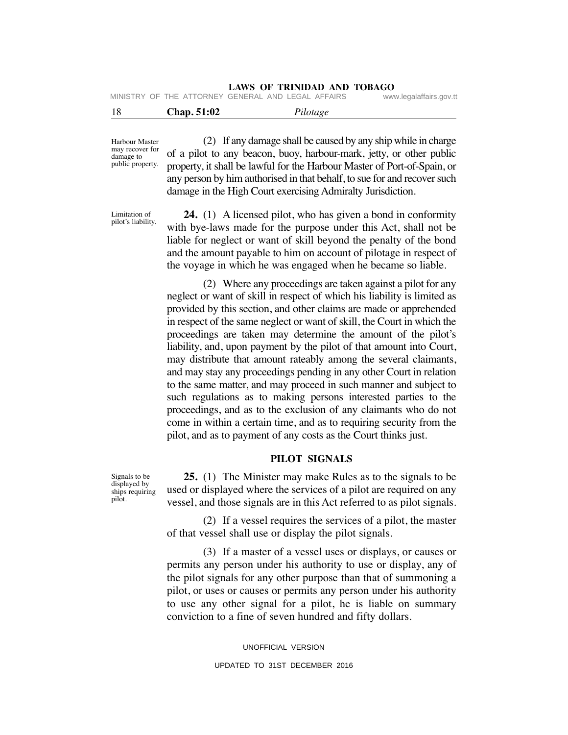MINISTRY OF THE ATTORNEY GENERAL AND LEGAL AFFAIRS

|  | Chap. 51:02 | Pilotage |
|--|-------------|----------|
|--|-------------|----------|

Harbour Master may recover for damage to public property.

 (2) If any damage shall be caused by any ship while in charge of a pilot to any beacon, buoy, harbour-mark, jetty, or other public property, it shall be lawful for the Harbour Master of Port-of-Spain, or any person by him authorised in that behalf, to sue for and recover such damage in the High Court exercising Admiralty Jurisdiction.

Limitation of pilot's liability.

 **24.** (1) A licensed pilot, who has given a bond in conformity with bye-laws made for the purpose under this Act, shall not be liable for neglect or want of skill beyond the penalty of the bond and the amount payable to him on account of pilotage in respect of the voyage in which he was engaged when he became so liable.

 (2) Where any proceedings are taken against a pilot for any neglect or want of skill in respect of which his liability is limited as provided by this section, and other claims are made or apprehended in respect of the same neglect or want of skill, the Court in which the proceedings are taken may determine the amount of the pilot's liability, and, upon payment by the pilot of that amount into Court, may distribute that amount rateably among the several claimants, and may stay any proceedings pending in any other Court in relation to the same matter, and may proceed in such manner and subject to such regulations as to making persons interested parties to the proceedings, and as to the exclusion of any claimants who do not come in within a certain time, and as to requiring security from the pilot, and as to payment of any costs as the Court thinks just.

# **PILOT SIGNALS**

 **25.** (1) The Minister may make Rules as to the signals to be used or displayed where the services of a pilot are required on any vessel, and those signals are in this Act referred to as pilot signals.

 (2) If a vessel requires the services of a pilot, the master of that vessel shall use or display the pilot signals.

 (3) If a master of a vessel uses or displays, or causes or permits any person under his authority to use or display, any of the pilot signals for any other purpose than that of summoning a pilot, or uses or causes or permits any person under his authority to use any other signal for a pilot, he is liable on summary conviction to a fine of seven hundred and fifty dollars.

> UNOFFICIAL VERSION UPDATED TO 31ST DECEMBER 2016

Signals to be displayed by ships requiring pilot.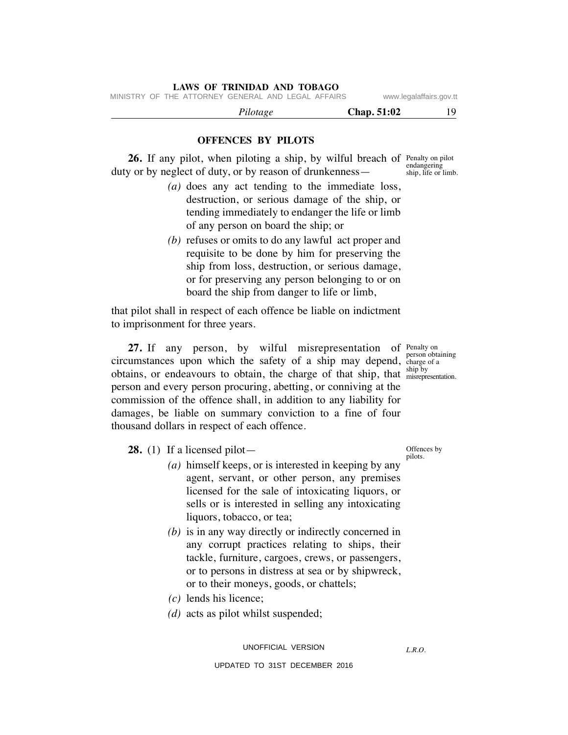MINISTRY OF THE ATTORNEY GENERAL AND LEGAL AFFAIRS www.legalaffairs.gov.tt

 *Pilotage* **Chap. 51:02** 19

# **OFFENCES BY PILOTS**

**26.** If any pilot, when piloting a ship, by wilful breach of Penalty on pilot duty or by neglect of duty, or by reason of drunkenness—

- *(a)* does any act tending to the immediate loss, destruction, or serious damage of the ship, or tending immediately to endanger the life or limb of any person on board the ship; or
- *(b)* refuses or omits to do any lawful act proper and requisite to be done by him for preserving the ship from loss, destruction, or serious damage, or for preserving any person belonging to or on board the ship from danger to life or limb,

that pilot shall in respect of each offence be liable on indictment to imprisonment for three years.

27. If any person, by wilful misrepresentation of Penalty on circumstances upon which the safety of a ship may depend, charge of a obtains, or endeavours to obtain, the charge of that ship, that  $\frac{\text{supp by}}{\text{misrepresentation}}$ person and every person procuring, abetting, or conniving at the commission of the offence shall, in addition to any liability for damages, be liable on summary conviction to a fine of four thousand dollars in respect of each offence.

**28.** (1) If a licensed pilot—

- *(a)* himself keeps, or is interested in keeping by any agent, servant, or other person, any premises licensed for the sale of intoxicating liquors, or sells or is interested in selling any intoxicating liquors, tobacco, or tea;
- *(b)* is in any way directly or indirectly concerned in any corrupt practices relating to ships, their tackle, furniture, cargoes, crews, or passengers, or to persons in distress at sea or by shipwreck, or to their moneys, goods, or chattels;
- *(c)* lends his licence;
- *(d)* acts as pilot whilst suspended;

UPDATED TO 31ST DECEMBER 2016

person obtaining ship by

Offences by pilots.

*L.R.O.* 

endangering ship, life or limb.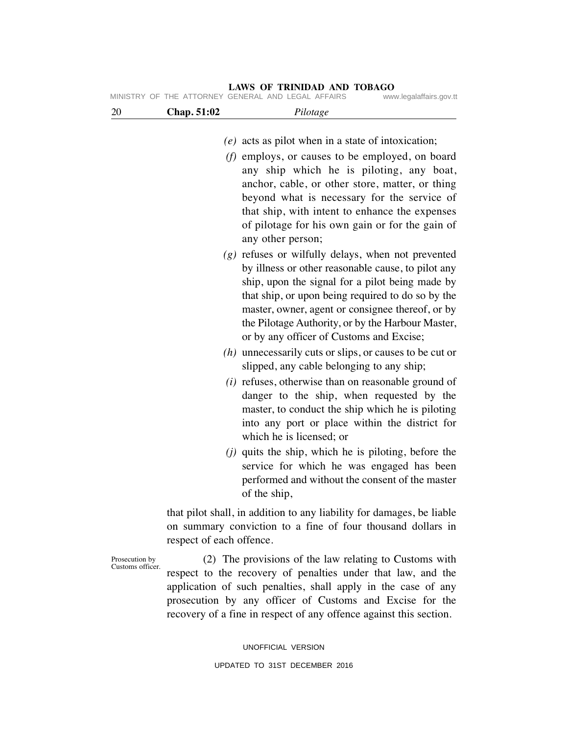# Prosecution by Customs officer.  *(e)* acts as pilot when in a state of intoxication;  *(f)* employs, or causes to be employed, on board any ship which he is piloting, any boat, anchor, cable, or other store, matter, or thing beyond what is necessary for the service of that ship, with intent to enhance the expenses of pilotage for his own gain or for the gain of any other person;  *(g)* refuses or wilfully delays, when not prevented by illness or other reasonable cause, to pilot any ship, upon the signal for a pilot being made by that ship, or upon being required to do so by the master, owner, agent or consignee thereof, or by the Pilotage Authority, or by the Harbour Master, or by any officer of Customs and Excise;  *(h)* unnecessarily cuts or slips, or causes to be cut or slipped, any cable belonging to any ship;  *(i)* refuses, otherwise than on reasonable ground of danger to the ship, when requested by the master, to conduct the ship which he is piloting into any port or place within the district for which he is licensed; or  *(j)* quits the ship, which he is piloting, before the service for which he was engaged has been performed and without the consent of the master of the ship, that pilot shall, in addition to any liability for damages, be liable on summary conviction to a fine of four thousand dollars in respect of each offence. (2) The provisions of the law relating to Customs with respect to the recovery of penalties under that law, and the 20 **Chap. 51:02** *Pilotage* **LAWS OF TRINIDAD AND TOBAGO** MINISTRY OF THE ATTORNEY GENERAL AND LEGAL AFFAIRS

application of such penalties, shall apply in the case of any prosecution by any officer of Customs and Excise for the recovery of a fine in respect of any offence against this section.

> UNOFFICIAL VERSION UPDATED TO 31ST DECEMBER 2016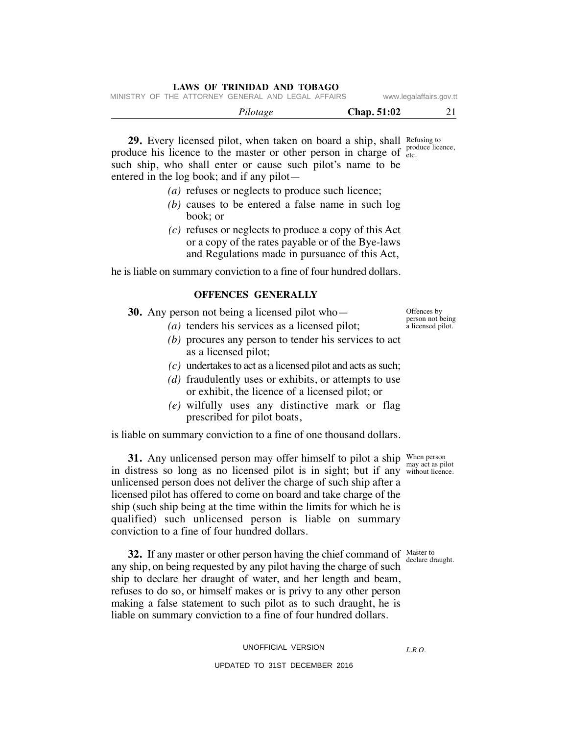| LAWS OF TRINIDAD AND TOBAGO |  |
|-----------------------------|--|
|-----------------------------|--|

|  | MINISTRY OF THE ATTORNEY GENERAL AND LEGAL AFFAIRS |  |  | www.legalaffairs.gov.tt |
|--|----------------------------------------------------|--|--|-------------------------|
|  |                                                    |  |  |                         |

| r tlotage | Chap. 51:02 |  |
|-----------|-------------|--|
|           |             |  |

**29.** Every licensed pilot, when taken on board a ship, shall Refusing to produce his licence to the master or other person in charge of  $_{\text{etc.}}^{\text{pro}}$ such ship, who shall enter or cause such pilot's name to be entered in the log book; and if any pilot—

- *(a)* refuses or neglects to produce such licence;
- *(b)* causes to be entered a false name in such log book; or
- *(c)* refuses or neglects to produce a copy of this Act or a copy of the rates payable or of the Bye-laws and Regulations made in pursuance of this Act,

he is liable on summary conviction to a fine of four hundred dollars.

# **OFFENCES GENERALLY**

 **30.** Any person not being a licensed pilot who—

- *(a)* tenders his services as a licensed pilot;
	- *(b)* procures any person to tender his services to act as a licensed pilot;
	- *(c)* undertakes to act as a licensed pilot and acts as such;
	- *(d)* fraudulently uses or exhibits, or attempts to use or exhibit, the licence of a licensed pilot; or
	- *(e)* wilfully uses any distinctive mark or flag prescribed for pilot boats,

is liable on summary conviction to a fine of one thousand dollars.

**31.** Any unlicensed person may offer himself to pilot a ship When person in distress so long as no licensed pilot is in sight; but if any without licence. unlicensed person does not deliver the charge of such ship after a licensed pilot has offered to come on board and take charge of the ship (such ship being at the time within the limits for which he is qualified) such unlicensed person is liable on summary conviction to a fine of four hundred dollars.

**32.** If any master or other person having the chief command of Master to any ship, on being requested by any pilot having the charge of such ship to declare her draught of water, and her length and beam, refuses to do so, or himself makes or is privy to any other person making a false statement to such pilot as to such draught, he is liable on summary conviction to a fine of four hundred dollars.

UNOFFICIAL VERSION

UPDATED TO 31ST DECEMBER 2016

may act as pilot

declare draught.

*L.R.O.* 

Offences by person not being a licensed pilot.

produce licence,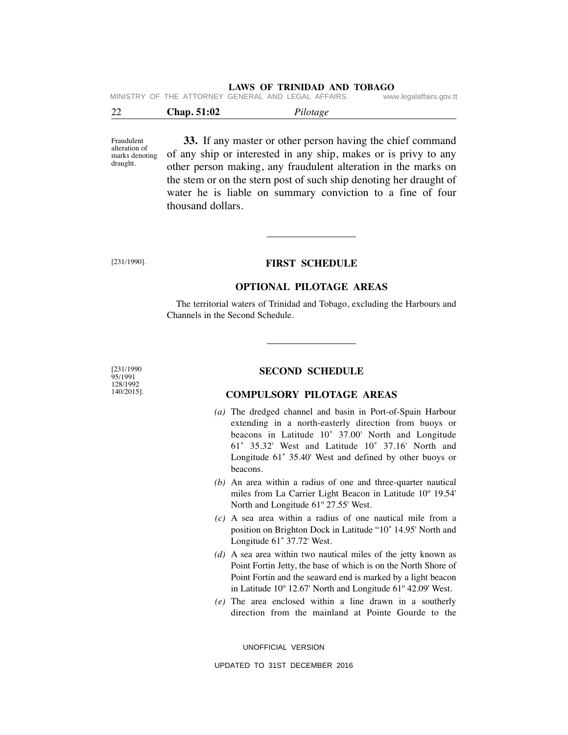|  | MINISTRY OF THE ATTORNEY GENERAL AND LEGAL AFFAIRS |  |  |  | www.legalaffairs.gov.tt |
|--|----------------------------------------------------|--|--|--|-------------------------|
|--|----------------------------------------------------|--|--|--|-------------------------|

| $\sim$ | Chap. 51:02 | Pilotage |  |
|--------|-------------|----------|--|
|        |             |          |  |

Fraudulent alteration of marks denoting draught.

 **33.** If any master or other person having the chief command of any ship or interested in any ship, makes or is privy to any other person making, any fraudulent alteration in the marks on the stem or on the stern post of such ship denoting her draught of water he is liable on summary conviction to a fine of four thousand dollars.

[231/1990].

# **FIRST SCHEDULE**

# **OPTIONAL PILOTAGE AREAS**

The territorial waters of Trinidad and Tobago, excluding the Harbours and Channels in the Second Schedule.

[231/1990 95/1991 128/1992 140/2015].

# **SECOND SCHEDULE**

#### **COMPULSORY PILOTAGE AREAS**

- *(a)* The dredged channel and basin in Port-of-Spain Harbour extending in a north-easterly direction from buoys or beacons in Latitude 10˚ 37.00' North and Longitude 61˚ 35.32' West and Latitude 10˚ 37.16' North and Longitude 61˚ 35.40' West and defined by other buoys or beacons.
- *(b)* An area within a radius of one and three-quarter nautical miles from La Carrier Light Beacon in Latitude 10º 19.54' North and Longitude 61º 27.55' West.
- *(c)* A sea area within a radius of one nautical mile from a position on Brighton Dock in Latitude "10˚ 14.95' North and Longitude 61˚ 37.72' West.
- *(d)* A sea area within two nautical miles of the jetty known as Point Fortin Jetty, the base of which is on the North Shore of Point Fortin and the seaward end is marked by a light beacon in Latitude 10º 12.67' North and Longitude 61º 42.09' West.
- *(e)* The area enclosed within a line drawn in a southerly direction from the mainland at Pointe Gourde to the

UNOFFICIAL VERSION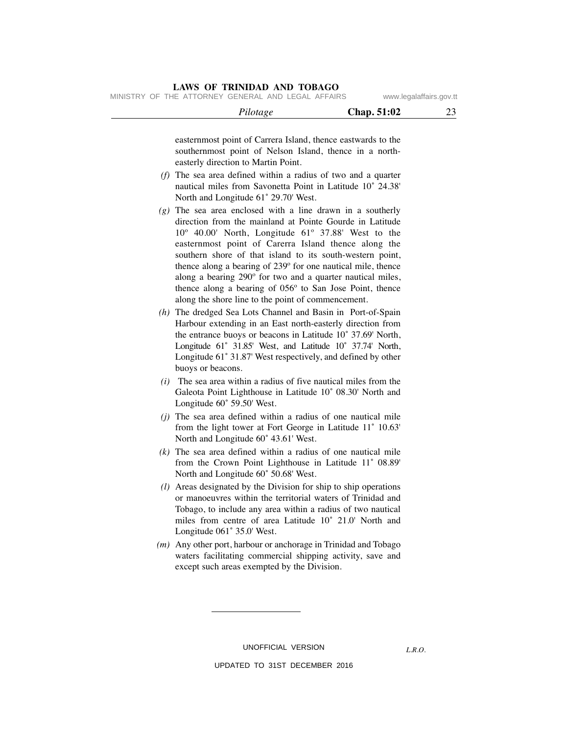MINISTRY OF THE ATTORNEY GENERAL AND LEGAL AFFAIRS www.legalaffairs.gov.tt

| Pilotage | Chap. 51:02 |
|----------|-------------|
|          |             |

easternmost point of Carrera Island, thence eastwards to the southernmost point of Nelson Island, thence in a northeasterly direction to Martin Point.

- *(f)* The sea area defined within a radius of two and a quarter nautical miles from Savonetta Point in Latitude 10˚ 24.38' North and Longitude 61˚ 29.70' West.
- *(g)* The sea area enclosed with a line drawn in a southerly direction from the mainland at Pointe Gourde in Latitude 10º 40.00' North, Longitude 61º 37.88' West to the easternmost point of Carerra Island thence along the southern shore of that island to its south-western point, thence along a bearing of 239º for one nautical mile, thence along a bearing 290º for two and a quarter nautical miles, thence along a bearing of 056º to San Jose Point, thence along the shore line to the point of commencement.
- *(h)* The dredged Sea Lots Channel and Basin in Port-of-Spain Harbour extending in an East north-easterly direction from the entrance buoys or beacons in Latitude 10˚ 37.69' North, Longitude 61˚ 31.85' West, and Latitude 10˚ 37.74' North, Longitude 61˚ 31.87' West respectively, and defined by other buoys or beacons.
- *(i)* The sea area within a radius of five nautical miles from the Galeota Point Lighthouse in Latitude 10˚ 08.30' North and Longitude 60˚ 59.50' West.
- *(j)* The sea area defined within a radius of one nautical mile from the light tower at Fort George in Latitude 11˚ 10.63' North and Longitude 60˚ 43.61' West.
- *(k)* The sea area defined within a radius of one nautical mile from the Crown Point Lighthouse in Latitude 11˚ 08.89' North and Longitude 60˚ 50.68' West.
- *(l)* Areas designated by the Division for ship to ship operations or manoeuvres within the territorial waters of Trinidad and Tobago, to include any area within a radius of two nautical miles from centre of area Latitude 10˚ 21.0' North and Longitude 061˚ 35.0' West.
- *(m)* Any other port, harbour or anchorage in Trinidad and Tobago waters facilitating commercial shipping activity, save and except such areas exempted by the Division.

UNOFFICIAL VERSION

*L.R.O.*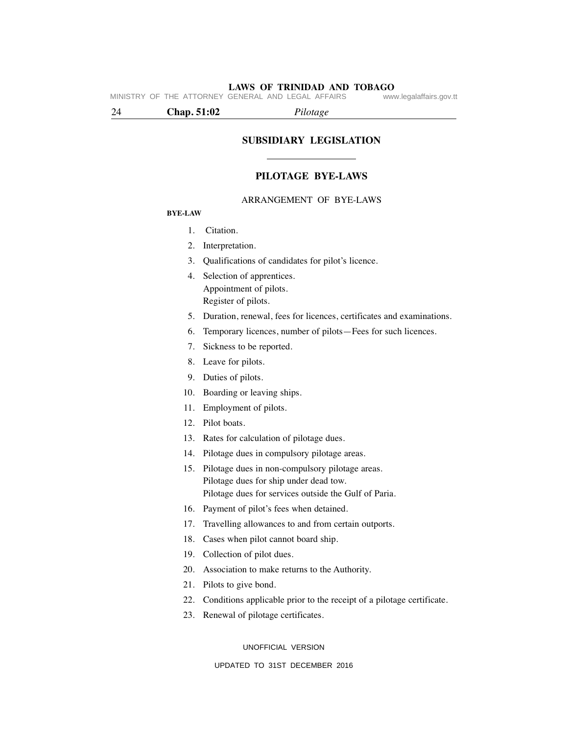**LAWS OF TRINIDAD AND TOBAGO** MINISTRY OF THE ATTORNEY GENERAL AND LEGAL AFFAIRS

24 **Chap. 51:02** *Pilotage*

# **SUBSIDIARY LEGISLATION**

# **PILOTAGE BYE-LAWS**

# ARRANGEMENT OF BYE-LAWS

#### **BYE-LAW**

- 1. Citation.
- 2. Interpretation.
- 3. Qualifications of candidates for pilot's licence.
- 4. Selection of apprentices. Appointment of pilots. Register of pilots.
- 5. Duration, renewal, fees for licences, certificates and examinations.
- 6. Temporary licences, number of pilots—Fees for such licences.
- 7. Sickness to be reported.
- 8. Leave for pilots.
- 9. Duties of pilots.
- 10. Boarding or leaving ships.
- 11. Employment of pilots.
- 12. Pilot boats.
- 13. Rates for calculation of pilotage dues.
- 14. Pilotage dues in compulsory pilotage areas.
- 15. Pilotage dues in non-compulsory pilotage areas. Pilotage dues for ship under dead tow. Pilotage dues for services outside the Gulf of Paria.
- 16. Payment of pilot's fees when detained.
- 17. Travelling allowances to and from certain outports.
- 18. Cases when pilot cannot board ship.
- 19. Collection of pilot dues.
- 20. Association to make returns to the Authority.
- 21. Pilots to give bond.
- 22. Conditions applicable prior to the receipt of a pilotage certificate.
- 23. Renewal of pilotage certificates.

UNOFFICIAL VERSION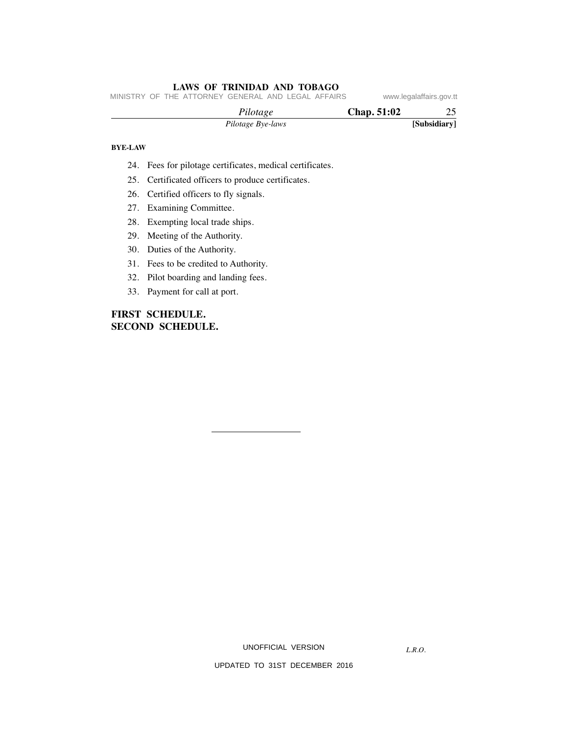MINISTRY OF THE ATTORNEY GENERAL AND LEGAL AFFAIRS www.legalaffairs.gov.tt

| Chap. 51:02<br>Pilotage |              |
|-------------------------|--------------|
| Pilotage Bye-laws       | [Subsidiary] |

# **BYE-LAW**

- 24. Fees for pilotage certificates, medical certificates.
- 25. Certificated officers to produce certificates.
- 26. Certified officers to fly signals.
- 27. Examining Committee.
- 28. Exempting local trade ships.
- 29. Meeting of the Authority.
- 30. Duties of the Authority.
- 31. Fees to be credited to Authority.
- 32. Pilot boarding and landing fees.
- 33. Payment for call at port.

# **FIRST SCHEDULE. SECOND SCHEDULE.**

UNOFFICIAL VERSION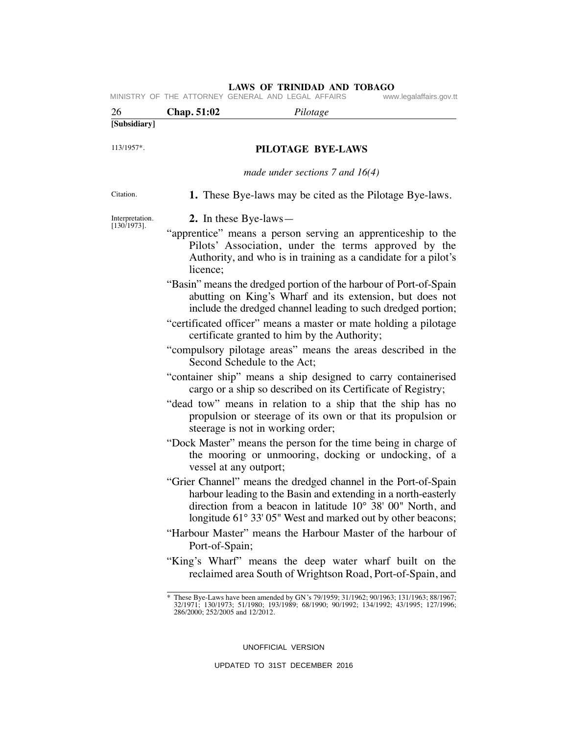113/1957\*. Citation. Interpretation. [130/1973]. \* These Bye-Laws have been amended by GN's 79/1959; 31/1962; 90/1963; 131/1963; 88/1967; 32/1971; 130/1973; 51/1980; 193/1989; 68/1990; 90/1992; 134/1992; 43/1995; 127/1996; 286/2000; 252/2005 and 12/2012. **PILOTAGE BYE-LAWS** *made under sections 7 and 16(4)*  **1.** These Bye-laws may be cited as the Pilotage Bye-laws.  **2.** In these Bye-laws— "apprentice" means a person serving an apprenticeship to the Pilots' Association, under the terms approved by the Authority, and who is in training as a candidate for a pilot's licence; "Basin" means the dredged portion of the harbour of Port-of-Spain abutting on King's Wharf and its extension, but does not include the dredged channel leading to such dredged portion; "certificated officer" means a master or mate holding a pilotage certificate granted to him by the Authority; "compulsory pilotage areas" means the areas described in the Second Schedule to the Act; "container ship" means a ship designed to carry containerised cargo or a ship so described on its Certificate of Registry; "dead tow" means in relation to a ship that the ship has no propulsion or steerage of its own or that its propulsion or steerage is not in working order; "Dock Master" means the person for the time being in charge of the mooring or unmooring, docking or undocking, of a vessel at any outport; "Grier Channel" means the dredged channel in the Port-of-Spain harbour leading to the Basin and extending in a north-easterly direction from a beacon in latitude 10° 38' 00" North, and longitude  $61^{\circ}$  33' 05" West and marked out by other beacons; "Harbour Master" means the Harbour Master of the harbour of Port-of-Spain; "King's Wharf" means the deep water wharf built on the reclaimed area South of Wrightson Road, Port-of-Spain, and **[Subsidiary]** 26 **Chap. 51:02** *Pilotage* **LAWS OF TRINIDAD AND TOBAGO** MINISTRY OF THE ATTORNEY GENERAL AND LEGAL AFFAIRS

UNOFFICIAL VERSION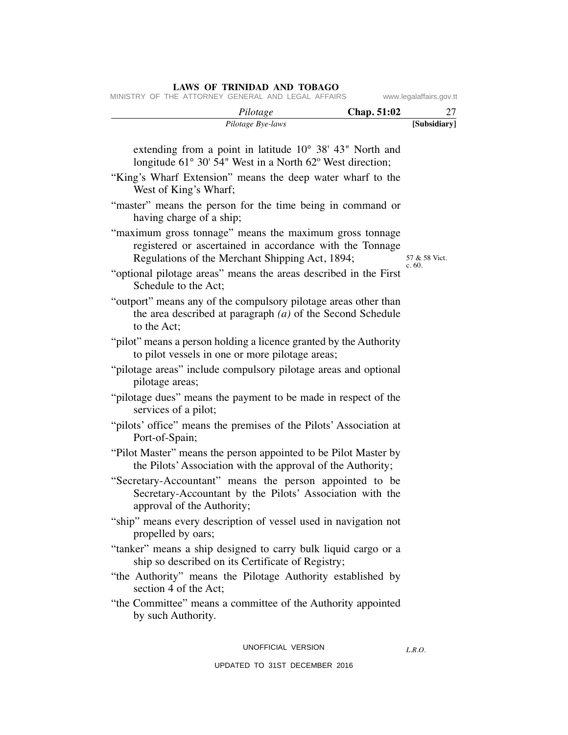| Pilotage                                                                                                                                                               | Chap. 51:02 | 27                        |
|------------------------------------------------------------------------------------------------------------------------------------------------------------------------|-------------|---------------------------|
| Pilotage Bye-laws                                                                                                                                                      |             | [Subsidiary]              |
| extending from a point in latitude 10° 38′ 43″ North and<br>longitude 61° 30′ 54″ West in a North 62° West direction;                                                  |             |                           |
| "King's Wharf Extension" means the deep water wharf to the<br>West of King's Wharf;                                                                                    |             |                           |
| "master" means the person for the time being in command or<br>having charge of a ship;                                                                                 |             |                           |
| "maximum gross tonnage" means the maximum gross tonnage<br>registered or ascertained in accordance with the Tonnage<br>Regulations of the Merchant Shipping Act, 1894; |             | 57 & 58 Vict.<br>c. $60.$ |
| "optional pilotage areas" means the areas described in the First<br>Schedule to the Act;                                                                               |             |                           |
| "outport" means any of the compulsory pilotage areas other than<br>the area described at paragraph $(a)$ of the Second Schedule<br>to the Act;                         |             |                           |
| "pilot" means a person holding a licence granted by the Authority<br>to pilot vessels in one or more pilotage areas;                                                   |             |                           |
| "pilotage areas" include compulsory pilotage areas and optional<br>pilotage areas;                                                                                     |             |                           |
| "pilotage dues" means the payment to be made in respect of the<br>services of a pilot;                                                                                 |             |                           |
| "pilots' office" means the premises of the Pilots' Association at<br>Port-of-Spain;                                                                                    |             |                           |
| "Pilot Master" means the person appointed to be Pilot Master by<br>the Pilots' Association with the approval of the Authority;                                         |             |                           |
| "Secretary-Accountant" means the person appointed to be<br>Secretary-Accountant by the Pilots' Association with the<br>approval of the Authority;                      |             |                           |
| "ship" means every description of vessel used in navigation not<br>propelled by oars;                                                                                  |             |                           |
| "tanker" means a ship designed to carry bulk liquid cargo or a<br>ship so described on its Certificate of Registry;                                                    |             |                           |
| "the Authority" means the Pilotage Authority established by<br>section 4 of the Act;                                                                                   |             |                           |
| "the Committee" means a committee of the Authority appointed<br>by such Authority.                                                                                     |             |                           |
| UNOFFICIAL VERSION                                                                                                                                                     |             | IP                        |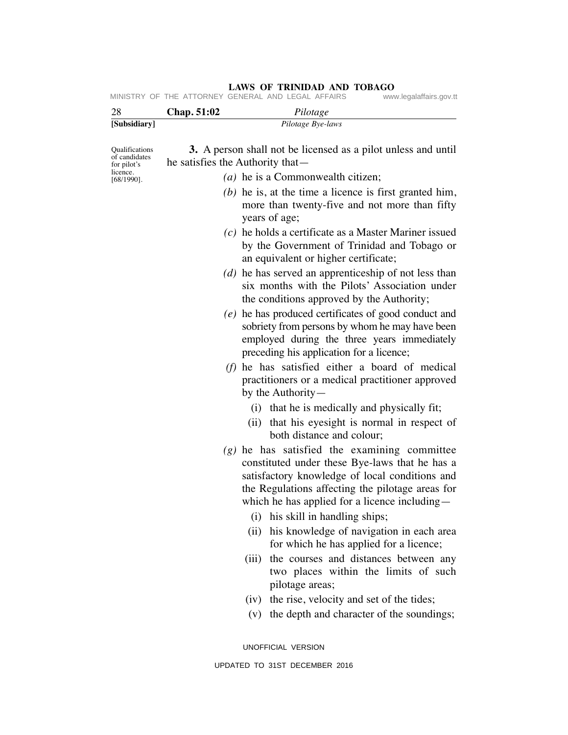**LAWS OF TRINIDAD AND TOBAGO**<br>GENERAL AND LEGAL AFFAIRS www.legalaffairs.gov.tt MINISTRY OF THE ATTORNEY GENERAL AND LEGAL AFFAIRS

| 28                                                         | Chap. 51:02                      | Pilotage                                                      |
|------------------------------------------------------------|----------------------------------|---------------------------------------------------------------|
| [Subsidiarv]                                               |                                  | Pilotage Bye-laws                                             |
| Oualifications<br>of candidates<br>for pilot's<br>licence. | he satisfies the Authority that— | 3. A person shall not be licensed as a pilot unless and until |
| $[68/1990]$ .                                              |                                  | $(a)$ he is a Commonwealth citizen;                           |
|                                                            |                                  | $(b)$ he is, at the time a licence is first granted him,      |

years of age;

 *(c)* he holds a certificate as a Master Mariner issued by the Government of Trinidad and Tobago or an equivalent or higher certificate;

more than twenty-five and not more than fifty

- *(d)* he has served an apprenticeship of not less than six months with the Pilots' Association under the conditions approved by the Authority;
- *(e)* he has produced certificates of good conduct and sobriety from persons by whom he may have been employed during the three years immediately preceding his application for a licence;
- *(f)* he has satisfied either a board of medical practitioners or a medical practitioner approved by the Authority—
	- (i) that he is medically and physically fit;
	- (ii) that his eyesight is normal in respect of both distance and colour;
- *(g)* he has satisfied the examining committee constituted under these Bye-laws that he has a satisfactory knowledge of local conditions and the Regulations affecting the pilotage areas for which he has applied for a licence including—
	- (i) his skill in handling ships;
	- (ii) his knowledge of navigation in each area for which he has applied for a licence;
	- (iii) the courses and distances between any two places within the limits of such pilotage areas;
	- (iv) the rise, velocity and set of the tides;
	- (v) the depth and character of the soundings;

UNOFFICIAL VERSION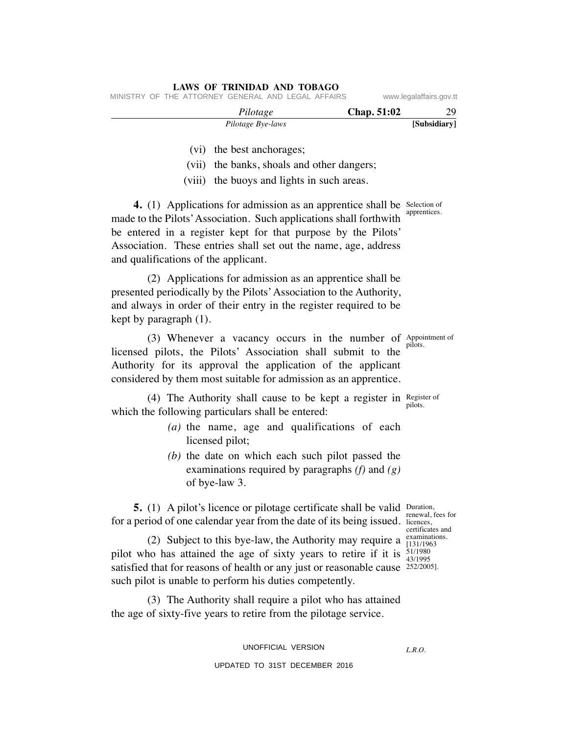|  |                                                    | Pilotage Bye-laws |  |  |             | [Subsidiary]            |
|--|----------------------------------------------------|-------------------|--|--|-------------|-------------------------|
|  |                                                    | Pilotage          |  |  | Chap. 51:02 | 29                      |
|  | MINISTRY OF THE ATTORNEY GENERAL AND LEGAL AFFAIRS |                   |  |  |             | www.legalaffairs.gov.tt |

(vi) the best anchorages;

**LAWS OF TRINIDAD AND TOBAGO**

- (vii) the banks, shoals and other dangers;
- (viii) the buoys and lights in such areas.

**4.** (1) Applications for admission as an apprentice shall be Selection of made to the Pilots' Association. Such applications shall forthwith be entered in a register kept for that purpose by the Pilots' Association. These entries shall set out the name, age, address and qualifications of the applicant.

 (2) Applications for admission as an apprentice shall be presented periodically by the Pilots' Association to the Authority, and always in order of their entry in the register required to be kept by paragraph (1).

(3) Whenever a vacancy occurs in the number of  $\Delta p$  appointment of licensed pilots, the Pilots' Association shall submit to the Authority for its approval the application of the applicant considered by them most suitable for admission as an apprentice.

(4) The Authority shall cause to be kept a register in Register of which the following particulars shall be entered:

- *(a)* the name, age and qualifications of each licensed pilot;
- *(b)* the date on which each such pilot passed the examinations required by paragraphs *(f)* and *(g)* of bye-law 3.

**5.** (1) A pilot's licence or pilotage certificate shall be valid Duration, for a period of one calendar year from the date of its being issued. licences,

(2) Subject to this bye-law, the Authority may require a  $\frac{\text{examination}}{[131/1963]}$ pilot who has attained the age of sixty years to retire if it is  $\frac{51/1980}{43/1995}$ satisfied that for reasons of health or any just or reasonable cause <sup>252/2005].</sup> such pilot is unable to perform his duties competently.

 (3) The Authority shall require a pilot who has attained the age of sixty-five years to retire from the pilotage service.

> UNOFFICIAL VERSION UPDATED TO 31ST DECEMBER 2016

renewal, fees for certificates and examinations. 43/1995

pilots.

pilots.

apprentices.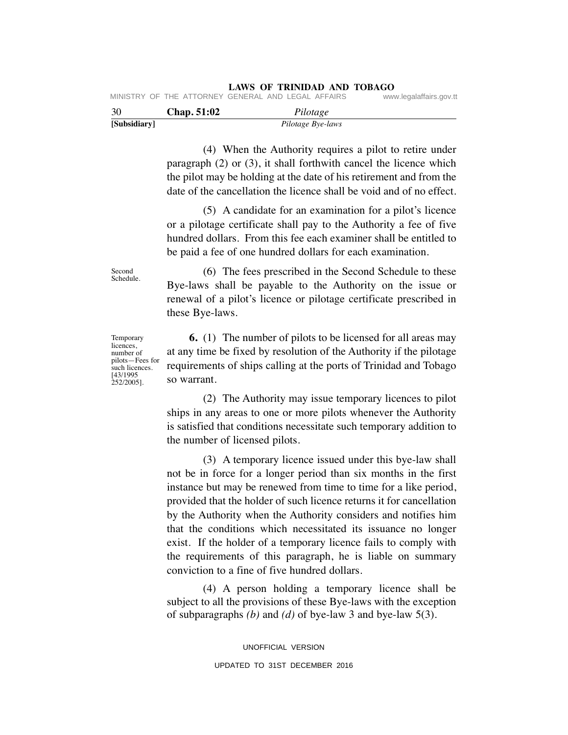| MINISTRY OF THE ATTORNEY GENERAL AND LEGAL AFFAIRS |  | www.legalaffairs.gov.tt |
|----------------------------------------------------|--|-------------------------|
|                                                    |  |                         |

| 30           | Chap. 51:02 | Pilotage          |  |
|--------------|-------------|-------------------|--|
| [Subsidiary] |             | Pilotage Bye-laws |  |

 (4) When the Authority requires a pilot to retire under paragraph (2) or (3), it shall forthwith cancel the licence which the pilot may be holding at the date of his retirement and from the date of the cancellation the licence shall be void and of no effect.

 (5) A candidate for an examination for a pilot's licence or a pilotage certificate shall pay to the Authority a fee of five hundred dollars. From this fee each examiner shall be entitled to be paid a fee of one hundred dollars for each examination.

Second Schedule.

 (6) The fees prescribed in the Second Schedule to these Bye-laws shall be payable to the Authority on the issue or renewal of a pilot's licence or pilotage certificate prescribed in these Bye-laws.

 **6.** (1) The number of pilots to be licensed for all areas may at any time be fixed by resolution of the Authority if the pilotage requirements of ships calling at the ports of Trinidad and Tobago so warrant.

 (2) The Authority may issue temporary licences to pilot ships in any areas to one or more pilots whenever the Authority is satisfied that conditions necessitate such temporary addition to the number of licensed pilots.

 (3) A temporary licence issued under this bye-law shall not be in force for a longer period than six months in the first instance but may be renewed from time to time for a like period, provided that the holder of such licence returns it for cancellation by the Authority when the Authority considers and notifies him that the conditions which necessitated its issuance no longer exist. If the holder of a temporary licence fails to comply with the requirements of this paragraph, he is liable on summary conviction to a fine of five hundred dollars.

 (4) A person holding a temporary licence shall be subject to all the provisions of these Bye-laws with the exception of subparagraphs *(b)* and *(d)* of bye-law 3 and bye-law 5(3).

**Temporary** licences, number of pilots—Fees for such licences. [43/1995  $252/2005$ ].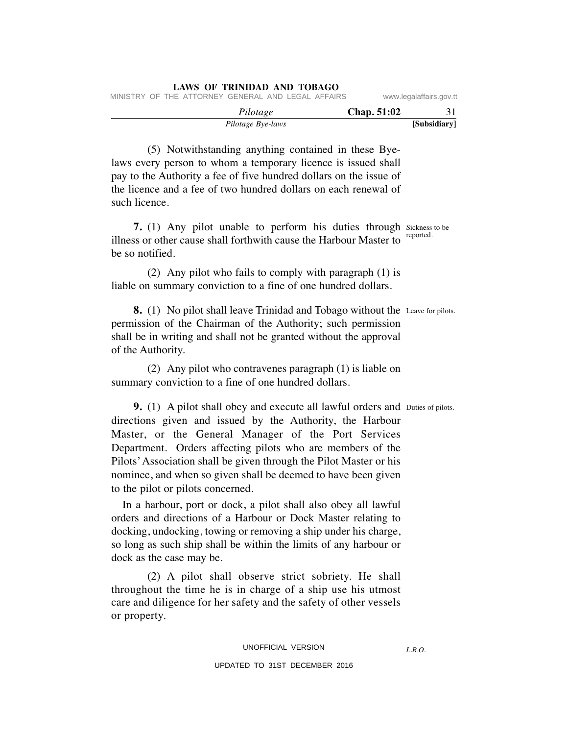|                         |                    |  | LAND OF ININDING AND TODING                        |  |  |  |
|-------------------------|--------------------|--|----------------------------------------------------|--|--|--|
| www.legalaffairs.gov.tt |                    |  | MINISTRY OF THE ATTORNEY GENERAL AND LEGAL AFFAIRS |  |  |  |
|                         | <b>Chap.</b> 51:02 |  | Pilotage                                           |  |  |  |
| [Subsidiary]            |                    |  | Pilotage Bye-laws                                  |  |  |  |

 (5) Notwithstanding anything contained in these Byelaws every person to whom a temporary licence is issued shall pay to the Authority a fee of five hundred dollars on the issue of the licence and a fee of two hundred dollars on each renewal of such licence.

**LAWS OF TRINIDAD AND TOBAGO**

**7.** (1) Any pilot unable to perform his duties through Sickness to be reported. illness or other cause shall forthwith cause the Harbour Master to be so notified.

 (2) Any pilot who fails to comply with paragraph (1) is liable on summary conviction to a fine of one hundred dollars.

**8.** (1) No pilot shall leave Trinidad and Tobago without the Leave for pilots. permission of the Chairman of the Authority; such permission shall be in writing and shall not be granted without the approval of the Authority.

 (2) Any pilot who contravenes paragraph (1) is liable on summary conviction to a fine of one hundred dollars.

**9.** (1) A pilot shall obey and execute all lawful orders and Duties of pilots. directions given and issued by the Authority, the Harbour Master, or the General Manager of the Port Services Department. Orders affecting pilots who are members of the Pilots' Association shall be given through the Pilot Master or his nominee, and when so given shall be deemed to have been given to the pilot or pilots concerned.

In a harbour, port or dock, a pilot shall also obey all lawful orders and directions of a Harbour or Dock Master relating to docking, undocking, towing or removing a ship under his charge, so long as such ship shall be within the limits of any harbour or dock as the case may be.

 (2) A pilot shall observe strict sobriety. He shall throughout the time he is in charge of a ship use his utmost care and diligence for her safety and the safety of other vessels or property.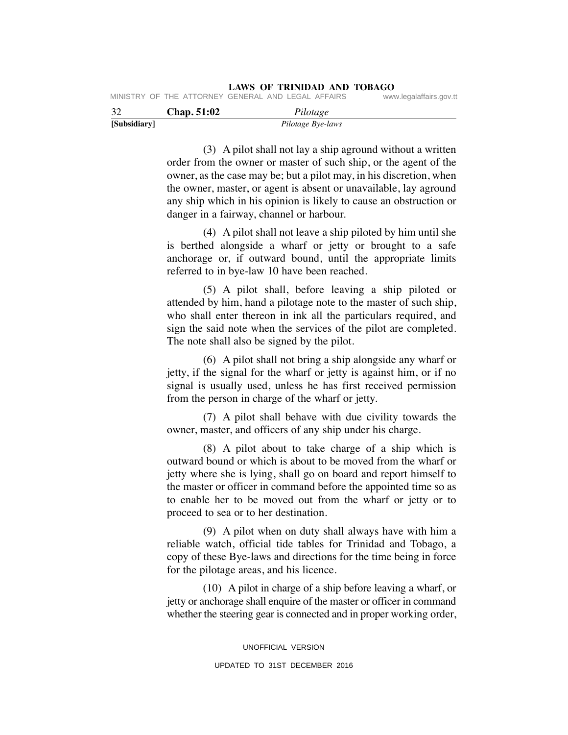|  | MINISTRY OF THE ATTORNEY GENERAL AND LEGAL AFFAIRS |  |  | www.legalaffairs.gov.tt |  |
|--|----------------------------------------------------|--|--|-------------------------|--|
|  |                                                    |  |  |                         |  |

| 32           | Chap. 51:02 | Pilotage          |  |
|--------------|-------------|-------------------|--|
| [Subsidiary] |             | Pilotage Bye-laws |  |

 (3) A pilot shall not lay a ship aground without a written order from the owner or master of such ship, or the agent of the owner, as the case may be; but a pilot may, in his discretion, when the owner, master, or agent is absent or unavailable, lay aground any ship which in his opinion is likely to cause an obstruction or danger in a fairway, channel or harbour.

 (4) A pilot shall not leave a ship piloted by him until she is berthed alongside a wharf or jetty or brought to a safe anchorage or, if outward bound, until the appropriate limits referred to in bye-law 10 have been reached.

 (5) A pilot shall, before leaving a ship piloted or attended by him, hand a pilotage note to the master of such ship, who shall enter thereon in ink all the particulars required, and sign the said note when the services of the pilot are completed. The note shall also be signed by the pilot.

 (6) A pilot shall not bring a ship alongside any wharf or jetty, if the signal for the wharf or jetty is against him, or if no signal is usually used, unless he has first received permission from the person in charge of the wharf or jetty.

 (7) A pilot shall behave with due civility towards the owner, master, and officers of any ship under his charge.

 (8) A pilot about to take charge of a ship which is outward bound or which is about to be moved from the wharf or jetty where she is lying, shall go on board and report himself to the master or officer in command before the appointed time so as to enable her to be moved out from the wharf or jetty or to proceed to sea or to her destination.

 (9) A pilot when on duty shall always have with him a reliable watch, official tide tables for Trinidad and Tobago, a copy of these Bye-laws and directions for the time being in force for the pilotage areas, and his licence.

 (10) A pilot in charge of a ship before leaving a wharf, or jetty or anchorage shall enquire of the master or officer in command whether the steering gear is connected and in proper working order,

> UNOFFICIAL VERSION UPDATED TO 31ST DECEMBER 2016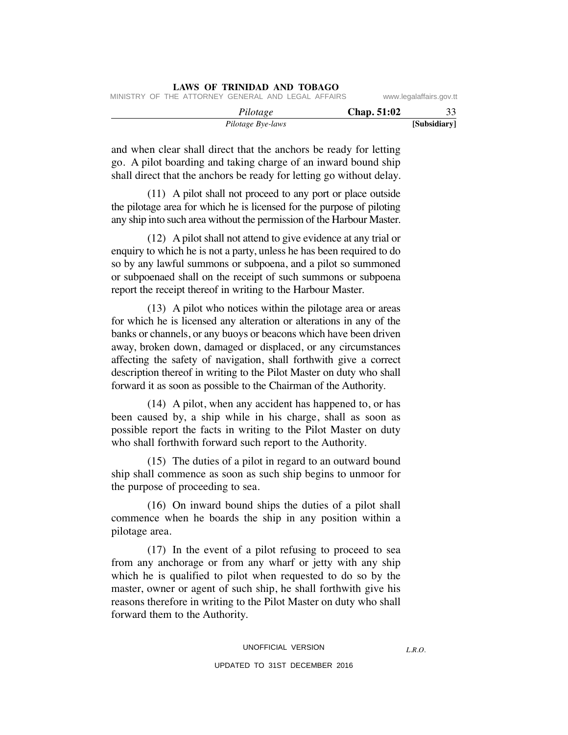|                                                    | LAWS OF TRINIDAD AND TOBAGO |             |                         |
|----------------------------------------------------|-----------------------------|-------------|-------------------------|
| MINISTRY OF THE ATTORNEY GENERAL AND LEGAL AFFAIRS |                             |             | www.legalaffairs.gov.tt |
|                                                    | Pilotage                    | Chap. 51:02 | 33                      |
|                                                    | Pilotage Bye-laws           |             | [Subsidiary]            |

and when clear shall direct that the anchors be ready for letting go. A pilot boarding and taking charge of an inward bound ship shall direct that the anchors be ready for letting go without delay.

 (11) A pilot shall not proceed to any port or place outside the pilotage area for which he is licensed for the purpose of piloting any ship into such area without the permission of the Harbour Master.

 (12) A pilot shall not attend to give evidence at any trial or enquiry to which he is not a party, unless he has been required to do so by any lawful summons or subpoena, and a pilot so summoned or subpoenaed shall on the receipt of such summons or subpoena report the receipt thereof in writing to the Harbour Master.

 (13) A pilot who notices within the pilotage area or areas for which he is licensed any alteration or alterations in any of the banks or channels, or any buoys or beacons which have been driven away, broken down, damaged or displaced, or any circumstances affecting the safety of navigation, shall forthwith give a correct description thereof in writing to the Pilot Master on duty who shall forward it as soon as possible to the Chairman of the Authority.

 (14) A pilot, when any accident has happened to, or has been caused by, a ship while in his charge, shall as soon as possible report the facts in writing to the Pilot Master on duty who shall forthwith forward such report to the Authority.

 (15) The duties of a pilot in regard to an outward bound ship shall commence as soon as such ship begins to unmoor for the purpose of proceeding to sea.

 (16) On inward bound ships the duties of a pilot shall commence when he boards the ship in any position within a pilotage area.

 (17) In the event of a pilot refusing to proceed to sea from any anchorage or from any wharf or jetty with any ship which he is qualified to pilot when requested to do so by the master, owner or agent of such ship, he shall forthwith give his reasons therefore in writing to the Pilot Master on duty who shall forward them to the Authority.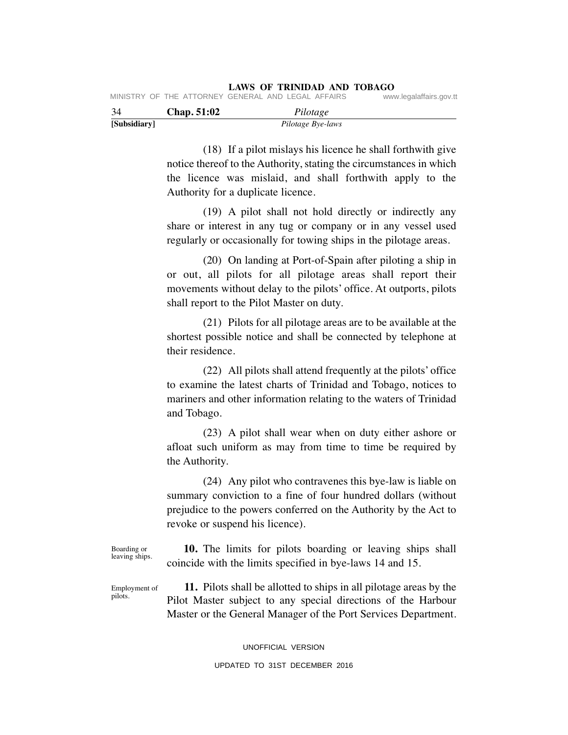|  | <b>LAWS OF TRINIDAD AND TOBAGO</b> |  |
|--|------------------------------------|--|
|  |                                    |  |

| -34 | Chap. 51:02 | Pilotage                                           |                         |
|-----|-------------|----------------------------------------------------|-------------------------|
|     |             | MINISTRY OF THE ATTORNEY GENERAL AND LEGAL AFFAIRS | www.legalaffairs.gov.tt |

|              | $C$ liap. $51.02$ | <i>ruoluge</i>    |  |
|--------------|-------------------|-------------------|--|
| [Subsidiary] |                   | Pilotage Bye-laws |  |

 (18) If a pilot mislays his licence he shall forthwith give notice thereof to the Authority, stating the circumstances in which the licence was mislaid, and shall forthwith apply to the Authority for a duplicate licence.

 (19) A pilot shall not hold directly or indirectly any share or interest in any tug or company or in any vessel used regularly or occasionally for towing ships in the pilotage areas.

 (20) On landing at Port-of-Spain after piloting a ship in or out, all pilots for all pilotage areas shall report their movements without delay to the pilots' office. At outports, pilots shall report to the Pilot Master on duty.

 (21) Pilots for all pilotage areas are to be available at the shortest possible notice and shall be connected by telephone at their residence.

 (22) All pilots shall attend frequently at the pilots' office to examine the latest charts of Trinidad and Tobago, notices to mariners and other information relating to the waters of Trinidad and Tobago.

 (23) A pilot shall wear when on duty either ashore or afloat such uniform as may from time to time be required by the Authority.

 (24) Any pilot who contravenes this bye-law is liable on summary conviction to a fine of four hundred dollars (without prejudice to the powers conferred on the Authority by the Act to revoke or suspend his licence).

Boarding or leaving ships.

 **10.** The limits for pilots boarding or leaving ships shall coincide with the limits specified in bye-laws 14 and 15.

Employment of pilots.

 **11.** Pilots shall be allotted to ships in all pilotage areas by the Pilot Master subject to any special directions of the Harbour Master or the General Manager of the Port Services Department.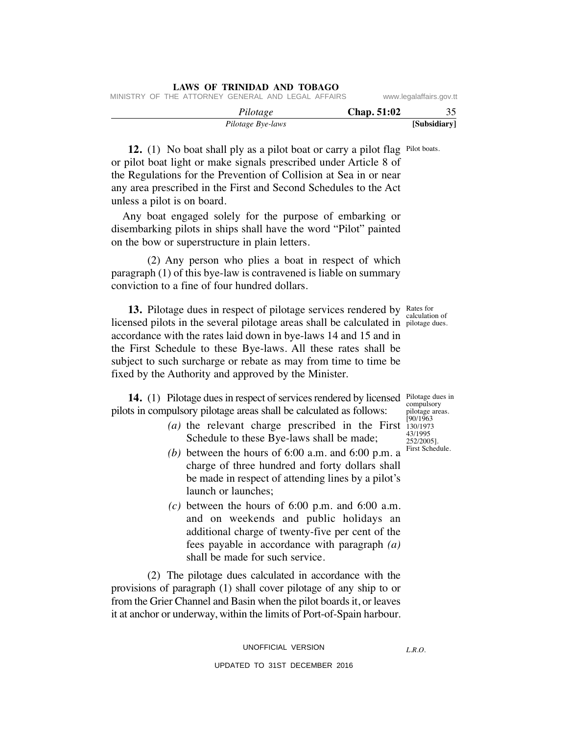|                                                    | Pilotage Bye-laws |             | [Subsidiary]            |
|----------------------------------------------------|-------------------|-------------|-------------------------|
|                                                    | Pilotage          | Chap. 51:02 |                         |
| MINISTRY OF THE ATTORNEY GENERAL AND LEGAL AFFAIRS |                   |             | www.legalaffairs.gov.tt |

**12.** (1) No boat shall ply as a pilot boat or carry a pilot flag Pilot boats. or pilot boat light or make signals prescribed under Article 8 of the Regulations for the Prevention of Collision at Sea in or near any area prescribed in the First and Second Schedules to the Act unless a pilot is on board.

Any boat engaged solely for the purpose of embarking or disembarking pilots in ships shall have the word "Pilot" painted on the bow or superstructure in plain letters.

**LAWS OF TRINIDAD AND TOBAGO**

 (2) Any person who plies a boat in respect of which paragraph (1) of this bye-law is contravened is liable on summary conviction to a fine of four hundred dollars.

13. Pilotage dues in respect of pilotage services rendered by Rates for licensed pilots in the several pilotage areas shall be calculated in pilotage dues. accordance with the rates laid down in bye-laws 14 and 15 and in the First Schedule to these Bye-laws. All these rates shall be subject to such surcharge or rebate as may from time to time be fixed by the Authority and approved by the Minister.

**14.** (1) Pilotage dues in respect of services rendered by licensed Pilotage dues in pilots in compulsory pilotage areas shall be calculated as follows:

- $\alpha$  the relevant charge prescribed in the First  $\frac{130}{1973}$ Schedule to these Bye-laws shall be made;
	- *(b)* between the hours of 6:00 a.m. and 6:00 p.m. a charge of three hundred and forty dollars shall be made in respect of attending lines by a pilot's launch or launches;
	- $(c)$  between the hours of  $6:00$  p.m. and  $6:00$  a.m. and on weekends and public holidays an additional charge of twenty-five per cent of the fees payable in accordance with paragraph *(a)* shall be made for such service.

 (2) The pilotage dues calculated in accordance with the provisions of paragraph (1) shall cover pilotage of any ship to or from the Grier Channel and Basin when the pilot boards it, or leaves it at anchor or underway, within the limits of Port-of-Spain harbour.

calculation of

compulsory pilotage areas. [90/1963 43/1995 252/2005]. First Schedule.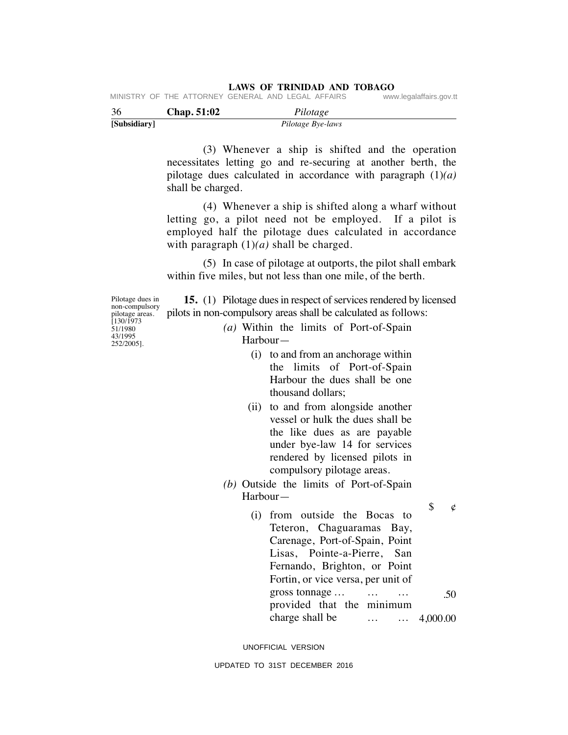| $\sim$ |  | <b>F1 00</b> |                                                    | $\mathbf{r} \cdot \mathbf{r}$ |                         |
|--------|--|--------------|----------------------------------------------------|-------------------------------|-------------------------|
|        |  |              | MINISTRY OF THE ATTORNEY GENERAL AND LEGAL AFFAIRS |                               | www.legalaffairs.gov.tt |

| -36          | Chap. 51:02 | Pilotage          |  |
|--------------|-------------|-------------------|--|
| [Subsidiary] |             | Pilotage Bye-laws |  |

 (3) Whenever a ship is shifted and the operation necessitates letting go and re-securing at another berth, the pilotage dues calculated in accordance with paragraph (1)*(a)* shall be charged.

 (4) Whenever a ship is shifted along a wharf without letting go, a pilot need not be employed. If a pilot is employed half the pilotage dues calculated in accordance with paragraph (1)*(a)* shall be charged.

 (5) In case of pilotage at outports, the pilot shall embark within five miles, but not less than one mile, of the berth.

Pilotage dues in non-compulsory pilotage areas. [130/1973 51/1980 43/1995 252/2005].

 **15.** (1) Pilotage dues in respect of services rendered by licensed pilots in non-compulsory areas shall be calculated as follows:

- *(a)* Within the limits of Port-of-Spain Harbour—
	- (i) to and from an anchorage within the limits of Port-of-Spain Harbour the dues shall be one thousand dollars;
	- (ii) to and from alongside another vessel or hulk the dues shall be the like dues as are payable under bye-law 14 for services rendered by licensed pilots in compulsory pilotage areas.
- *(b)* Outside the limits of Port-of-Spain Harbour—

 $\int$   $\phi$ 

 $\ldots$  4,000.00 .50 (i) from outside the Bocas to Teteron, Chaguaramas Bay, Carenage, Port-of-Spain, Point Lisas, Pointe-a-Pierre, San Fernando, Brighton, or Point Fortin, or vice versa, per unit of gross tonnage … … … provided that the minimum charge shall be  $\dots$ 

#### UNOFFICIAL VERSION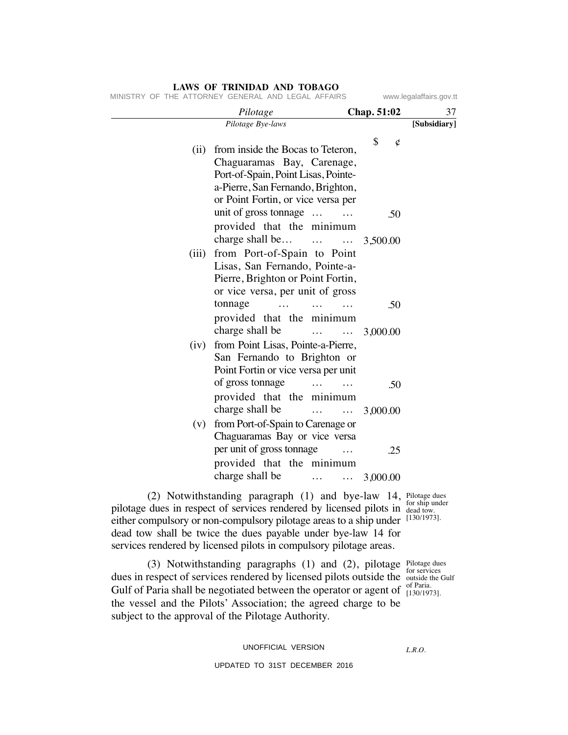|       | MINISTRY OF THE ATTORNEY GENERAL AND LEGAL AFFAIRS |             | www.legalaffairs.gov.tt |
|-------|----------------------------------------------------|-------------|-------------------------|
|       | Pilotage                                           | Chap. 51:02 | 37                      |
|       | Pilotage Bye-laws                                  |             | [Subsidiary]            |
| (ii)  | from inside the Bocas to Teteron,                  | \$<br>¢     |                         |
|       | Chaguaramas Bay, Carenage,                         |             |                         |
|       | Port-of-Spain, Point Lisas, Pointe-                |             |                         |
|       | a-Pierre, San Fernando, Brighton,                  |             |                         |
|       | or Point Fortin, or vice versa per                 |             |                         |
|       | unit of gross tonnage                              | .50         |                         |
|       | provided that the minimum                          |             |                         |
|       | charge shall be   3,500.00                         |             |                         |
| (iii) | from Port-of-Spain to Point                        |             |                         |
|       | Lisas, San Fernando, Pointe-a-                     |             |                         |
|       | Pierre, Brighton or Point Fortin,                  |             |                         |
|       | or vice versa, per unit of gross                   |             |                         |
|       | tonnage                                            | .50         |                         |
|       | provided that the minimum                          |             |                         |
|       | charge shall be                                    | 3,000.00    |                         |
| (iv)  | from Point Lisas, Pointe-a-Pierre,                 |             |                         |
|       | San Fernando to Brighton or                        |             |                         |
|       | Point Fortin or vice versa per unit                |             |                         |
|       | of gross tonnage<br>$\cdots$ $\cdots$              | .50         |                         |
|       | provided that the minimum                          |             |                         |
|       | charge shall be<br>$\cdots$ $\cdots$ 3,000.00      |             |                         |
| (v)   | from Port-of-Spain to Carenage or                  |             |                         |
|       | Chaguaramas Bay or vice versa                      |             |                         |
|       | per unit of gross tonnage                          | .25         |                         |
|       | provided that the minimum                          |             |                         |
|       | charge shall be<br>$\cdots$ $\cdots$ 3,000.00      |             |                         |
|       |                                                    |             |                         |

Pilotage dues for ship under dead tow.

either compulsory or non-compulsory pilotage areas to a ship under [130/1973]. (2) Notwithstanding paragraph (1) and bye-law 14, pilotage dues in respect of services rendered by licensed pilots in dead tow shall be twice the dues payable under bye-law 14 for services rendered by licensed pilots in compulsory pilotage areas.

(3) Notwithstanding paragraphs (1) and (2), pilotage  $P_{\text{intange}$  dues for services dues in respect of services rendered by licensed pilots outside the outside the Gulf of Paria. Gulf of Paria shall be negotiated between the operator or agent of  $\frac{01 \text{ Pauli}}{[130/1973]}$ the vessel and the Pilots' Association; the agreed charge to be subject to the approval of the Pilotage Authority.

# UNOFFICIAL VERSION

*L.R.O.*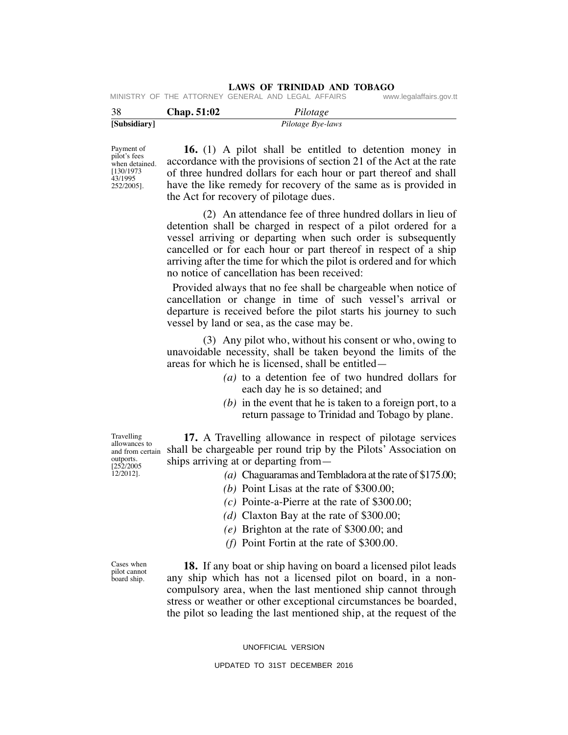|  | MINISTRY OF THE ATTORNEY GENERAL AND LEGAL AFFAIRS | www.legalaffairs.gov.tt |
|--|----------------------------------------------------|-------------------------|
|--|----------------------------------------------------|-------------------------|

| 38           | Chap. 51:02 | Pilotage          |  |
|--------------|-------------|-------------------|--|
| [Subsidiary] |             | Pilotage Bye-laws |  |

Payment of pilot's fees when detained. [130/1973 43/1995 252/2005].

 **16.** (1) A pilot shall be entitled to detention money in accordance with the provisions of section 21 of the Act at the rate of three hundred dollars for each hour or part thereof and shall have the like remedy for recovery of the same as is provided in the Act for recovery of pilotage dues.

 (2) An attendance fee of three hundred dollars in lieu of detention shall be charged in respect of a pilot ordered for a vessel arriving or departing when such order is subsequently cancelled or for each hour or part thereof in respect of a ship arriving after the time for which the pilot is ordered and for which no notice of cancellation has been received:

Provided always that no fee shall be chargeable when notice of cancellation or change in time of such vessel's arrival or departure is received before the pilot starts his journey to such vessel by land or sea, as the case may be.

 (3) Any pilot who, without his consent or who, owing to unavoidable necessity, shall be taken beyond the limits of the areas for which he is licensed, shall be entitled—

- *(a)* to a detention fee of two hundred dollars for each day he is so detained; and
- *(b)* in the event that he is taken to a foreign port, to a return passage to Trinidad and Tobago by plane.

Travelling allowances to and from certain outports.  $[252/2005]$  $12/2012$ ].

 **17.** A Travelling allowance in respect of pilotage services shall be chargeable per round trip by the Pilots' Association on ships arriving at or departing from—

- *(a)* Chaguaramas and Tembladora at the rate of \$175.00;
- *(b)* Point Lisas at the rate of \$300.00;
- *(c)* Pointe-a-Pierre at the rate of \$300.00;
- *(d)* Claxton Bay at the rate of \$300.00;
- *(e)* Brighton at the rate of \$300.00; and
- *(f)* Point Fortin at the rate of \$300.00.

Cases when pilot cannot board ship.

 **18.** If any boat or ship having on board a licensed pilot leads any ship which has not a licensed pilot on board, in a noncompulsory area, when the last mentioned ship cannot through stress or weather or other exceptional circumstances be boarded, the pilot so leading the last mentioned ship, at the request of the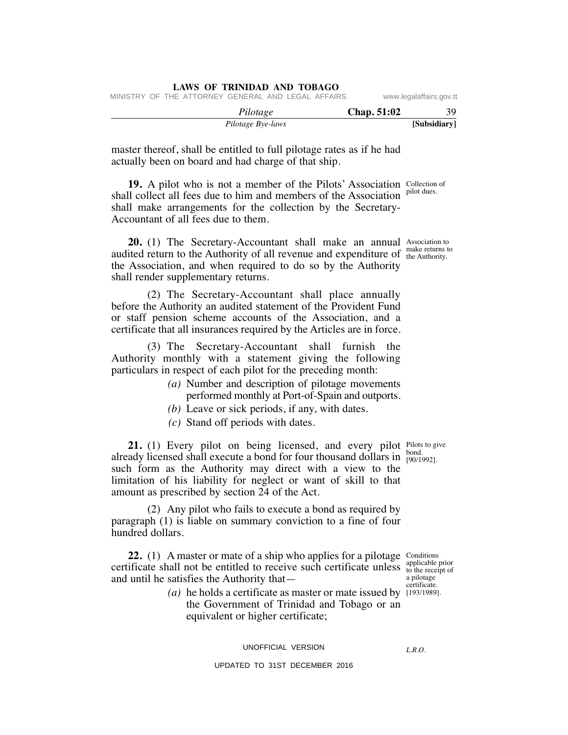|                                                    | Pilotage Bye-laws |             | [Subsidiary]            |
|----------------------------------------------------|-------------------|-------------|-------------------------|
|                                                    | Pilotage          | Chap. 51:02 | 39                      |
| MINISTRY OF THE ATTORNEY GENERAL AND LEGAL AFFAIRS |                   |             | www.legalaffairs.gov.tt |

master thereof, shall be entitled to full pilotage rates as if he had actually been on board and had charge of that ship.

**19.** A pilot who is not a member of the Pilots' Association Collection of shall collect all fees due to him and members of the Association <sup>pilot dues.</sup> shall make arrangements for the collection by the Secretary-Accountant of all fees due to them.

**20.** (1) The Secretary-Accountant shall make an annual Association to audited return to the Authority of all revenue and expenditure of  $\frac{\text{max}}{\text{the Authority}}$ the Association, and when required to do so by the Authority shall render supplementary returns.

 (2) The Secretary-Accountant shall place annually before the Authority an audited statement of the Provident Fund or staff pension scheme accounts of the Association, and a certificate that all insurances required by the Articles are in force.

 (3) The Secretary-Accountant shall furnish the Authority monthly with a statement giving the following particulars in respect of each pilot for the preceding month:

- *(a)* Number and description of pilotage movements performed monthly at Port-of-Spain and outports.
- *(b)* Leave or sick periods, if any, with dates.
- *(c)* Stand off periods with dates.

**21.** (1) Every pilot on being licensed, and every pilot Pilots to give already licensed shall execute a bond for four thousand dollars in  $\frac{6000}{[90/1992]}$ such form as the Authority may direct with a view to the limitation of his liability for neglect or want of skill to that amount as prescribed by section 24 of the Act.

 (2) Any pilot who fails to execute a bond as required by paragraph (1) is liable on summary conviction to a fine of four hundred dollars.

**22.** (1) A master or mate of a ship who applies for a pilotage Conditions applicable prior certificate shall not be entitled to receive such certificate unless  $_{\text{to the receipt of}}^{\text{appicade prior}}$ a pilotage certificate. and until he satisfies the Authority that—

(a) he holds a certificate as master or mate issued by [193/1989]. the Government of Trinidad and Tobago or an equivalent or higher certificate;

UNOFFICIAL VERSION

*L.R.O.* 

UPDATED TO 31ST DECEMBER 2016

bond.

make returns to

**LAWS OF TRINIDAD AND TOBAGO**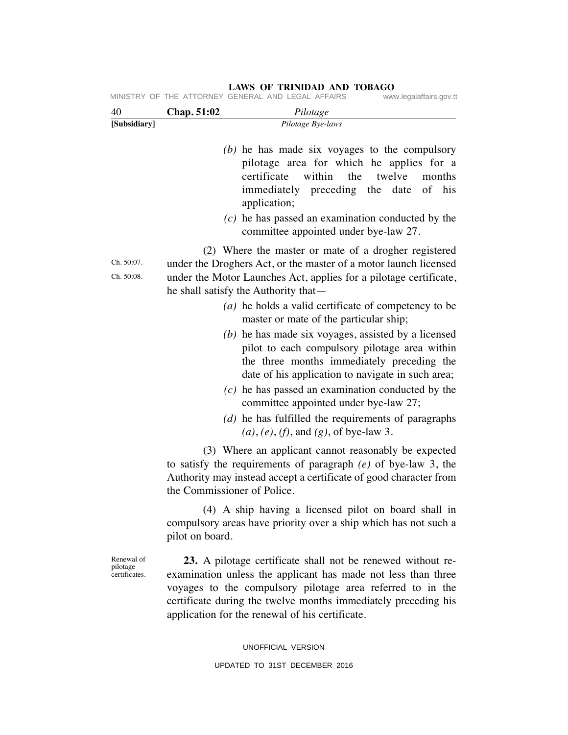| 40                                      | Chap. 51:02                 | MINISTRY OF THE ATTORNEY GENERAL AND LEGAL AFFAIRS<br>Pilotage                                                                                                                                                                                                                                                  | www.legalaffairs.gov.tt    |
|-----------------------------------------|-----------------------------|-----------------------------------------------------------------------------------------------------------------------------------------------------------------------------------------------------------------------------------------------------------------------------------------------------------------|----------------------------|
| [Subsidiary]                            |                             | Pilotage Bye-laws                                                                                                                                                                                                                                                                                               |                            |
|                                         |                             | $(b)$ he has made six voyages to the compulsory<br>pilotage area for which he applies for a<br>within<br>certificate<br>the<br>immediately preceding the date<br>application;<br>$(c)$ he has passed an examination conducted by the<br>committee appointed under bye-law 27.                                   | twelve<br>months<br>of his |
|                                         |                             | (2) Where the master or mate of a drogher registered                                                                                                                                                                                                                                                            |                            |
| Ch. 50:07.                              |                             | under the Droghers Act, or the master of a motor launch licensed                                                                                                                                                                                                                                                |                            |
| Ch. 50:08.                              |                             | under the Motor Launches Act, applies for a pilotage certificate,<br>he shall satisfy the Authority that—                                                                                                                                                                                                       |                            |
|                                         |                             | (a) he holds a valid certificate of competency to be                                                                                                                                                                                                                                                            |                            |
|                                         |                             | master or mate of the particular ship;                                                                                                                                                                                                                                                                          |                            |
|                                         |                             | $(b)$ he has made six voyages, assisted by a licensed                                                                                                                                                                                                                                                           |                            |
|                                         |                             | pilot to each compulsory pilotage area within                                                                                                                                                                                                                                                                   |                            |
|                                         |                             | the three months immediately preceding the<br>date of his application to navigate in such area;                                                                                                                                                                                                                 |                            |
|                                         |                             | $(c)$ he has passed an examination conducted by the<br>committee appointed under bye-law 27;                                                                                                                                                                                                                    |                            |
|                                         |                             | $(d)$ he has fulfilled the requirements of paragraphs<br>$(a)$ , $(e)$ , $(f)$ , and $(g)$ , of bye-law 3.                                                                                                                                                                                                      |                            |
|                                         |                             | (3) Where an applicant cannot reasonably be expected                                                                                                                                                                                                                                                            |                            |
|                                         | the Commissioner of Police. | to satisfy the requirements of paragraph $(e)$ of bye-law 3, the<br>Authority may instead accept a certificate of good character from                                                                                                                                                                           |                            |
|                                         | pilot on board.             | (4) A ship having a licensed pilot on board shall in<br>compulsory areas have priority over a ship which has not such a                                                                                                                                                                                         |                            |
| Renewal of<br>pilotage<br>certificates. |                             | 23. A pilotage certificate shall not be renewed without re-<br>examination unless the applicant has made not less than three<br>voyages to the compulsory pilotage area referred to in the<br>certificate during the twelve months immediately preceding his<br>application for the renewal of his certificate. |                            |

UNOFFICIAL VERSION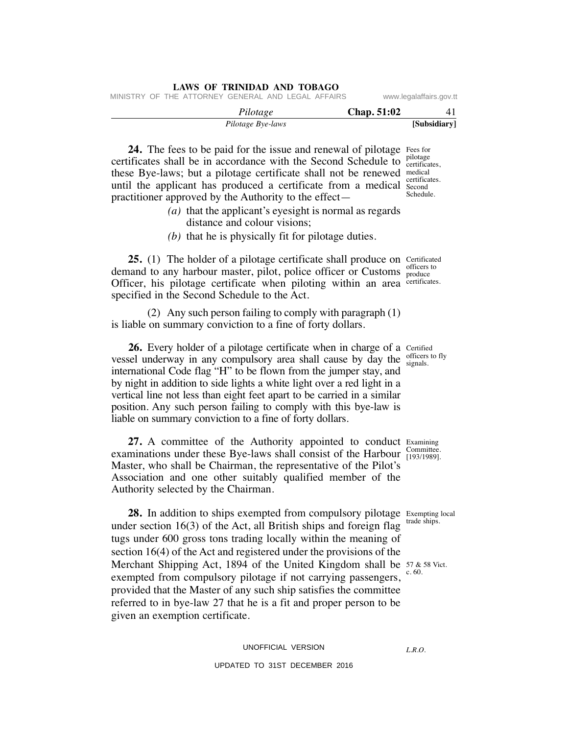|  |  | LAWS OF TRINIDAD AND TOBAGO |  |
|--|--|-----------------------------|--|
|  |  |                             |  |

MINISTRY OF THE ATTORNEY GENERAL AND LEGAL AFFAIRS www.legalaffairs.gov.tt

| Chap. 51:02<br>Pilotage |              |
|-------------------------|--------------|
| Pilotage Bye-laws       | [Subsidiary] |

**24.** The fees to be paid for the issue and renewal of pilotage Fees for pilotage certificates shall be in accordance with the Second Schedule to  $\frac{\text{p})(\text{node})}{\text{certificates}}$ these Bye-laws; but a pilotage certificate shall not be renewed medical until the applicant has produced a certificate from a medical  $\frac{\text{Second}}{\text{Second}}$ practitioner approved by the Authority to the effect—

- *(a)* that the applicant's eyesight is normal as regards distance and colour visions;
- *(b)* that he is physically fit for pilotage duties.

**25.** (1) The holder of a pilotage certificate shall produce on Certificated demand to any harbour master, pilot, police officer or Customs produce Officer, his pilotage certificate when piloting within an area certificates. specified in the Second Schedule to the Act.

 (2) Any such person failing to comply with paragraph (1) is liable on summary conviction to a fine of forty dollars.

**26.** Every holder of a pilotage certificate when in charge of a Certified vessel underway in any compulsory area shall cause by day the signals. international Code flag "H" to be flown from the jumper stay, and by night in addition to side lights a white light over a red light in a vertical line not less than eight feet apart to be carried in a similar position. Any such person failing to comply with this bye-law is liable on summary conviction to a fine of forty dollars.

27. A committee of the Authority appointed to conduct Examining examinations under these Bye-laws shall consist of the Harbour  $\frac{\text{commute}}{\left[193/1989\right]}$ . Master, who shall be Chairman, the representative of the Pilot's Association and one other suitably qualified member of the Authority selected by the Chairman.

28. In addition to ships exempted from compulsory pilotage Exempting local Merchant Shipping Act, 1894 of the United Kingdom shall be  $57 \underset{\sim}{\&} 58$  Vict. under section 16(3) of the Act, all British ships and foreign flag tugs under 600 gross tons trading locally within the meaning of section 16(4) of the Act and registered under the provisions of the exempted from compulsory pilotage if not carrying passengers, provided that the Master of any such ship satisfies the committee referred to in bye-law 27 that he is a fit and proper person to be given an exemption certificate.

UNOFFICIAL VERSION

UPDATED TO 31ST DECEMBER 2016

officers to fly

Committee.

trade ships.

c. 60.

officers to

certificates. Second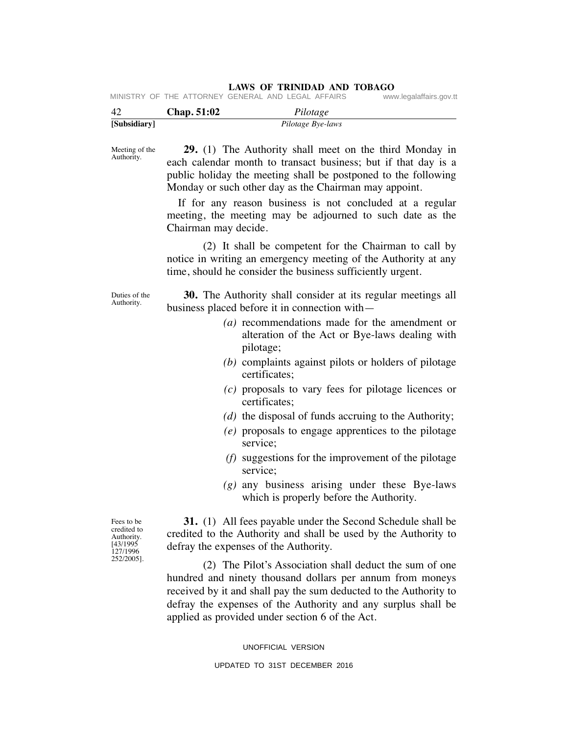|  | MINISTRY OF THE ATTORNEY GENERAL AND LEGAL AFFAIRS |  |  | www.legalaffairs.gov.tt |  |
|--|----------------------------------------------------|--|--|-------------------------|--|
|  |                                                    |  |  |                         |  |

| -42          | Chap. 51:02 | Pilotage          |  |
|--------------|-------------|-------------------|--|
| [Subsidiary] |             | Pilotage Bye-laws |  |

Meeting of the Authority.

 **29.** (1) The Authority shall meet on the third Monday in each calendar month to transact business; but if that day is a public holiday the meeting shall be postponed to the following Monday or such other day as the Chairman may appoint.

If for any reason business is not concluded at a regular meeting, the meeting may be adjourned to such date as the Chairman may decide.

 (2) It shall be competent for the Chairman to call by notice in writing an emergency meeting of the Authority at any time, should he consider the business sufficiently urgent.

Duties of the Authority.

 **30.** The Authority shall consider at its regular meetings all business placed before it in connection with—

- *(a)* recommendations made for the amendment or alteration of the Act or Bye-laws dealing with pilotage;
- *(b)* complaints against pilots or holders of pilotage certificates;
- *(c)* proposals to vary fees for pilotage licences or certificates;
- *(d)* the disposal of funds accruing to the Authority;
- *(e)* proposals to engage apprentices to the pilotage service;
- *(f)* suggestions for the improvement of the pilotage service;
- *(g)* any business arising under these Bye-laws which is properly before the Authority.

Fees to be credited to Authority. [43/1995 127/1996 252/2005].

 **31.** (1) All fees payable under the Second Schedule shall be credited to the Authority and shall be used by the Authority to defray the expenses of the Authority.

 (2) The Pilot's Association shall deduct the sum of one hundred and ninety thousand dollars per annum from moneys received by it and shall pay the sum deducted to the Authority to defray the expenses of the Authority and any surplus shall be applied as provided under section 6 of the Act.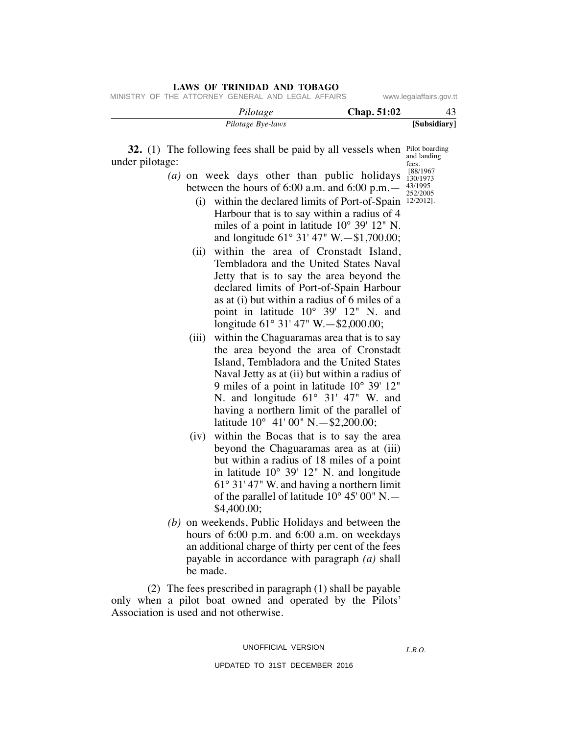MINISTRY OF THE ATTORNEY GENERAL AND LEGAL AFFAIRS www.legalaffairs.gov.tt

 *Pilotage* **Chap. 51:02** 43

| Pilotage Bye-laws | [Subsidiary] |
|-------------------|--------------|
|                   |              |

**32.** (1) The following fees shall be paid by all vessels when Pilot boarding and landing fees. under pilotage:

- [88/1967 (a) on week days other than public holidays  $\frac{188/190}{130/1973}$ 43/1995 252/2005 between the hours of 6:00 a.m. and 6:00 p.m.—
- (i) within the declared limits of Port-of-Spain  $12/2012$ . Harbour that is to say within a radius of 4 miles of a point in latitude 10° 39' 12" N. and longitude 61° 31' 47" W.—\$1,700.00;
	- (ii) within the area of Cronstadt Island, Tembladora and the United States Naval Jetty that is to say the area beyond the declared limits of Port-of-Spain Harbour as at (i) but within a radius of 6 miles of a point in latitude 10° 39' 12" N. and longitude 61° 31' 47" W.—\$2,000.00;
	- (iii) within the Chaguaramas area that is to say the area beyond the area of Cronstadt Island, Tembladora and the United States Naval Jetty as at (ii) but within a radius of 9 miles of a point in latitude 10° 39' 12" N. and longitude 61° 31' 47" W. and having a northern limit of the parallel of latitude 10° 41' 00" N.—\$2,200.00;
	- (iv) within the Bocas that is to say the area beyond the Chaguaramas area as at (iii) but within a radius of 18 miles of a point in latitude 10° 39' 12" N. and longitude 61° 31' 47" W. and having a northern limit of the parallel of latitude 10° 45' 00" N.— \$4,400.00;
	- *(b)* on weekends, Public Holidays and between the hours of 6:00 p.m. and 6:00 a.m. on weekdays an additional charge of thirty per cent of the fees payable in accordance with paragraph *(a)* shall be made.

 (2) The fees prescribed in paragraph (1) shall be payable only when a pilot boat owned and operated by the Pilots' Association is used and not otherwise.

# UNOFFICIAL VERSION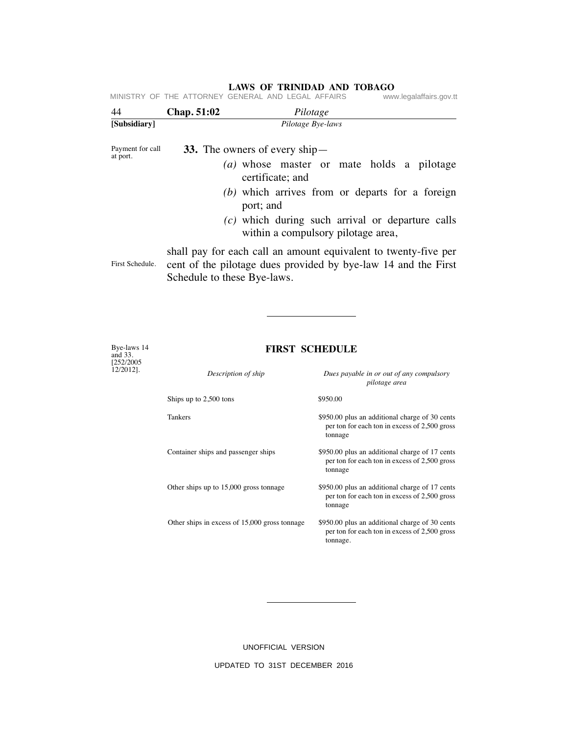|                              |             | MINISTRY OF THE ATTORNEY GENERAL AND LEGAL AFFAIRS                                                                                                               | www.legalaffairs.gov.tt |
|------------------------------|-------------|------------------------------------------------------------------------------------------------------------------------------------------------------------------|-------------------------|
| 44                           | Chap. 51:02 | Pilotage                                                                                                                                                         |                         |
| [Subsidiary]                 |             | Pilotage Bye-laws                                                                                                                                                |                         |
| Payment for call<br>at port. |             | 33. The owners of every ship—                                                                                                                                    |                         |
|                              |             | (a) whose master or mate holds a pilotage<br>certificate; and                                                                                                    |                         |
|                              |             | (b) which arrives from or departs for a foreign<br>port; and                                                                                                     |                         |
|                              |             | $(c)$ which during such arrival or departure calls<br>within a compulsory pilotage area,                                                                         |                         |
| First Schedule.              |             | shall pay for each call an amount equivalent to twenty-five per<br>cent of the pilotage dues provided by bye-law 14 and the First<br>Schedule to these Bye-laws. |                         |

Bye-laws 14 and 33. [252/2005 12/2012].

#### **LAWS OF TRINIDAD AND TOBAGO**

| Description of ship                           | Dues payable in or out of any compulsory<br>pilotage area                                                   |
|-----------------------------------------------|-------------------------------------------------------------------------------------------------------------|
| Ships up to 2,500 tons                        | \$950.00                                                                                                    |
| <b>Tankers</b>                                | \$950.00 plus an additional charge of 30 cents<br>per ton for each ton in excess of 2,500 gross<br>tonnage  |
| Container ships and passenger ships           | \$950.00 plus an additional charge of 17 cents<br>per ton for each ton in excess of 2,500 gross<br>tonnage  |
| Other ships up to 15,000 gross tonnage        | \$950.00 plus an additional charge of 17 cents<br>per ton for each ton in excess of 2,500 gross<br>tonnage  |
| Other ships in excess of 15,000 gross tonnage | \$950.00 plus an additional charge of 30 cents<br>per ton for each ton in excess of 2,500 gross<br>tonnage. |

**FIRST SCHEDULE**

UNOFFICIAL VERSION